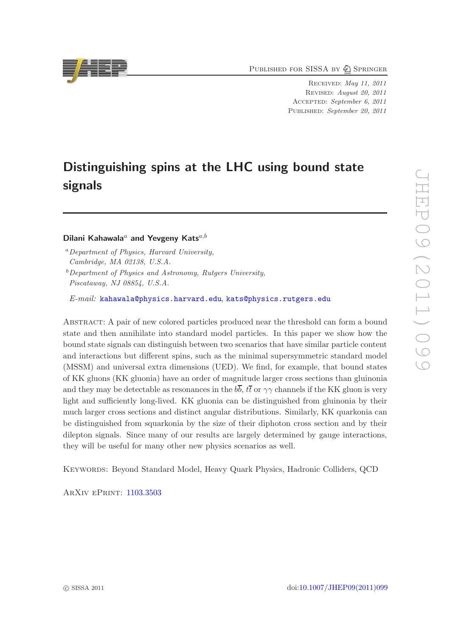PUBLISHED FOR SISSA BY 2 SPRINGER

Received: May 11, 2011 Revised: August 20, 2011 ACCEPTED: September 6, 2011 Published: September 20, 2011

# Distinguishing spins at the LHC using bound state signals

Dilani Kahawala<sup>a</sup> and Yevgeny Kats<sup> $a,b$ </sup>

*E-mail:* [kahawala@physics.harvard.edu](mailto:kahawala@physics.harvard.edu), [kats@physics.rutgers.edu](mailto:kats@physics.rutgers.edu)

Abstract: A pair of new colored particles produced near the threshold can form a bound state and then annihilate into standard model particles. In this paper we show how the bound state signals can distinguish between two scenarios that have similar particle content and interactions but different spins, such as the minimal supersymmetric standard model (MSSM) and universal extra dimensions (UED). We find, for example, that bound states of KK gluons (KK gluonia) have an order of magnitude larger cross sections than gluinonia and they may be detectable as resonances in the  $b\bar{b}$ ,  $t\bar{t}$  or  $\gamma\gamma$  channels if the KK gluon is very light and sufficiently long-lived. KK gluonia can be distinguished from gluinonia by their much larger cross sections and distinct angular distributions. Similarly, KK quarkonia can be distinguished from squarkonia by the size of their diphoton cross section and by their dilepton signals. Since many of our results are largely determined by gauge interactions, they will be useful for many other new physics scenarios as well.

Keywords: Beyond Standard Model, Heavy Quark Physics, Hadronic Colliders, QCD

ArXiv ePrint: [1103.3503](http://arxiv.org/abs/1103.3503)

<sup>a</sup>*Department of Physics, Harvard University, Cambridge, MA 02138, U.S.A.*

<sup>b</sup>*Department of Physics and Astronomy, Rutgers University, Piscataway, NJ 08854, U.S.A.*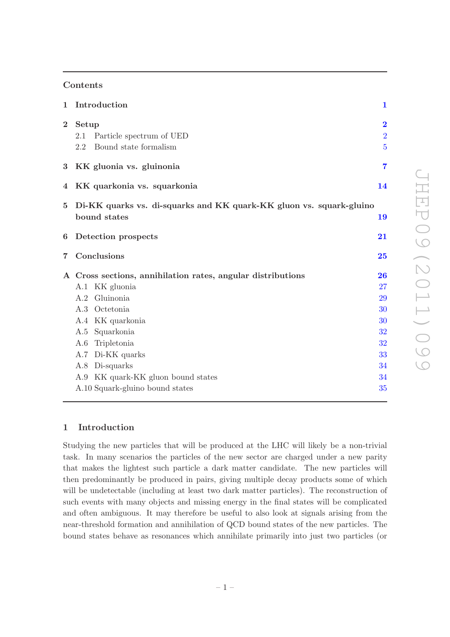# Contents

| $\mathbf{1}$   | Introduction                                                                        | $\mathbf{1}$                                       |
|----------------|-------------------------------------------------------------------------------------|----------------------------------------------------|
| $\overline{2}$ | Setup<br>Particle spectrum of UED<br>2.1<br>Bound state formalism<br>2.2            | $\overline{2}$<br>$\overline{2}$<br>$\overline{5}$ |
| $3^-$          | KK gluonia vs. gluinonia                                                            | $\overline{7}$                                     |
| 4              | KK quarkonia vs. squarkonia                                                         | 14                                                 |
| $\bf{5}$       | Di-KK quarks vs. di-squarks and KK quark-KK gluon vs. squark-gluino<br>bound states | 19                                                 |
| 6              | Detection prospects                                                                 | 21                                                 |
| 7              | Conclusions                                                                         | 25                                                 |
|                | A Cross sections, annihilation rates, angular distributions                         | 26                                                 |
|                | A.1 KK gluonia                                                                      | 27                                                 |
|                | A.2 Gluinonia                                                                       | 29                                                 |
|                | A.3 Octetonia                                                                       | 30                                                 |
|                | A.4 KK quarkonia                                                                    | 30                                                 |
|                | A.5 Squarkonia                                                                      | 32                                                 |
|                | Tripletonia<br>A.6                                                                  | 32                                                 |
|                | A.7 Di-KK quarks                                                                    | 33                                                 |
|                | A.8 Di-squarks                                                                      | 34                                                 |
|                | A.9 KK quark-KK gluon bound states                                                  | 34                                                 |
|                | A.10 Squark-gluino bound states                                                     | 35                                                 |
|                |                                                                                     |                                                    |

# <span id="page-1-0"></span>1 Introduction

Studying the new particles that will be produced at the LHC will likely be a non-trivial task. In many scenarios the particles of the new sector are charged under a new parity that makes the lightest such particle a dark matter candidate. The new particles will then predominantly be produced in pairs, giving multiple decay products some of which will be undetectable (including at least two dark matter particles). The reconstruction of such events with many objects and missing energy in the final states will be complicated and often ambiguous. It may therefore be useful to also look at signals arising from the near-threshold formation and annihilation of QCD bound states of the new particles. The bound states behave as resonances which annihilate primarily into just two particles (or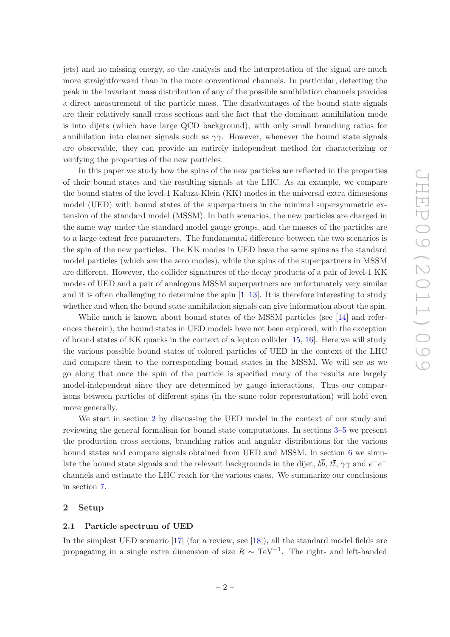jets) and no missing energy, so the analysis and the interpretation of the signal are much more straightforward than in the more conventional channels. In particular, detecting the peak in the invariant mass distribution of any of the possible annihilation channels provides a direct measurement of the particle mass. The disadvantages of the bound state signals are their relatively small cross sections and the fact that the dominant annihilation mode is into dijets (which have large QCD background), with only small branching ratios for annihilation into cleaner signals such as  $\gamma\gamma$ . However, whenever the bound state signals are observable, they can provide an entirely independent method for characterizing or verifying the properties of the new particles.

In this paper we study how the spins of the new particles are reflected in the properties of their bound states and the resulting signals at the LHC. As an example, we compare the bound states of the level-1 Kaluza-Klein (KK) modes in the universal extra dimensions model (UED) with bound states of the superpartners in the minimal supersymmetric extension of the standard model (MSSM). In both scenarios, the new particles are charged in the same way under the standard model gauge groups, and the masses of the particles are to a large extent free parameters. The fundamental difference between the two scenarios is the spin of the new particles. The KK modes in UED have the same spins as the standard model particles (which are the zero modes), while the spins of the superpartners in MSSM are different. However, the collider signatures of the decay products of a pair of level-1 KK modes of UED and a pair of analogous MSSM superpartners are unfortunately very similar and it is often challenging to determine the spin  $[1-13]$ . It is therefore interesting to study whether and when the bound state annihilation signals can give information about the spin.

While much is known about bound states of the MSSM particles (see [\[14\]](#page-36-2) and references therein), the bound states in UED models have not been explored, with the exception of bound states of KK quarks in the context of a lepton collider [\[15](#page-37-0), [16](#page-37-1)]. Here we will study the various possible bound states of colored particles of UED in the context of the LHC and compare them to the corresponding bound states in the MSSM. We will see as we go along that once the spin of the particle is specified many of the results are largely model-independent since they are determined by gauge interactions. Thus our comparisons between particles of different spins (in the same color representation) will hold even more generally.

We start in section [2](#page-2-0) by discussing the UED model in the context of our study and reviewing the general formalism for bound state computations. In sections [3–](#page-7-0)[5](#page-19-0) we present the production cross sections, branching ratios and angular distributions for the various bound states and compare signals obtained from UED and MSSM. In section [6](#page-21-0) we simulate the bound state signals and the relevant backgrounds in the dijet,  $b\overline{b}$ ,  $t\overline{t}$ ,  $\gamma\gamma$  and  $e^+e^$ channels and estimate the LHC reach for the various cases. We summarize our conclusions in section [7.](#page-25-0)

#### <span id="page-2-1"></span><span id="page-2-0"></span>2 Setup

#### 2.1 Particle spectrum of UED

In the simplest UED scenario [\[17](#page-37-2)] (for a review, see [\[18](#page-37-3)]), all the standard model fields are propagating in a single extra dimension of size  $R \sim \text{TeV}^{-1}$ . The right- and left-handed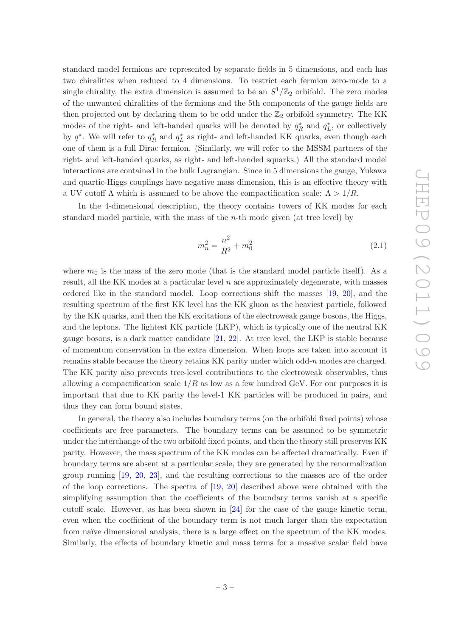standard model fermions are represented by separate fields in 5 dimensions, and each has two chiralities when reduced to 4 dimensions. To restrict each fermion zero-mode to a single chirality, the extra dimension is assumed to be an  $S^1/\mathbb{Z}_2$  orbifold. The zero modes of the unwanted chiralities of the fermions and the 5th components of the gauge fields are then projected out by declaring them to be odd under the  $\mathbb{Z}_2$  orbifold symmetry. The KK modes of the right- and left-handed quarks will be denoted by  $q_R^*$  and  $q_L^*$ , or collectively by  $q^*$ . We will refer to  $q_R^*$  and  $q_L^*$  as right- and left-handed KK quarks, even though each one of them is a full Dirac fermion. (Similarly, we will refer to the MSSM partners of the right- and left-handed quarks, as right- and left-handed squarks.) All the standard model interactions are contained in the bulk Lagrangian. Since in 5 dimensions the gauge, Yukawa and quartic-Higgs couplings have negative mass dimension, this is an effective theory with a UV cutoff  $\Lambda$  which is assumed to be above the compactification scale:  $\Lambda > 1/R$ .

In the 4-dimensional description, the theory contains towers of KK modes for each standard model particle, with the mass of the  $n$ -th mode given (at tree level) by

$$
m_n^2 = \frac{n^2}{R^2} + m_0^2 \tag{2.1}
$$

where  $m_0$  is the mass of the zero mode (that is the standard model particle itself). As a result, all the KK modes at a particular level n are approximately degenerate, with masses ordered like in the standard model. Loop corrections shift the masses [\[19,](#page-37-4) [20\]](#page-37-5), and the resulting spectrum of the first KK level has the KK gluon as the heaviest particle, followed by the KK quarks, and then the KK excitations of the electroweak gauge bosons, the Higgs, and the leptons. The lightest KK particle (LKP), which is typically one of the neutral KK gauge bosons, is a dark matter candidate [\[21,](#page-37-6) [22](#page-37-7)]. At tree level, the LKP is stable because of momentum conservation in the extra dimension. When loops are taken into account it remains stable because the theory retains KK parity under which odd-n modes are charged. The KK parity also prevents tree-level contributions to the electroweak observables, thus allowing a compactification scale  $1/R$  as low as a few hundred GeV. For our purposes it is important that due to KK parity the level-1 KK particles will be produced in pairs, and thus they can form bound states.

In general, the theory also includes boundary terms (on the orbifold fixed points) whose coefficients are free parameters. The boundary terms can be assumed to be symmetric under the interchange of the two orbifold fixed points, and then the theory still preserves KK parity. However, the mass spectrum of the KK modes can be affected dramatically. Even if boundary terms are absent at a particular scale, they are generated by the renormalization group running [\[19,](#page-37-4) [20,](#page-37-5) [23](#page-37-8)], and the resulting corrections to the masses are of the order of the loop corrections. The spectra of [\[19](#page-37-4), [20](#page-37-5)] described above were obtained with the simplifying assumption that the coefficients of the boundary terms vanish at a specific cutoff scale. However, as has been shown in [\[24](#page-37-9)] for the case of the gauge kinetic term, even when the coefficient of the boundary term is not much larger than the expectation from naïve dimensional analysis, there is a large effect on the spectrum of the KK modes. Similarly, the effects of boundary kinetic and mass terms for a massive scalar field have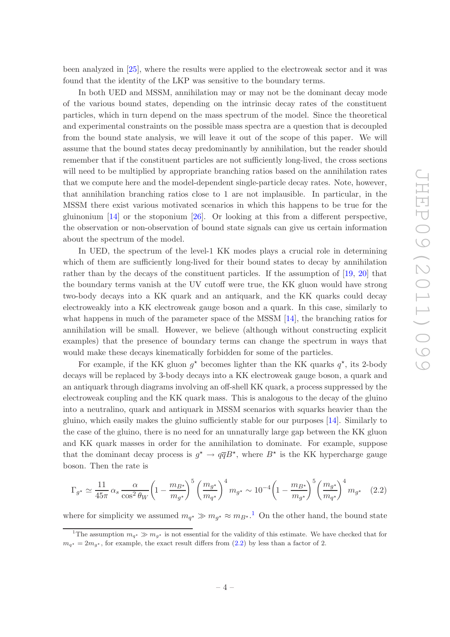been analyzed in [\[25](#page-37-10)], where the results were applied to the electroweak sector and it was found that the identity of the LKP was sensitive to the boundary terms.

In both UED and MSSM, annihilation may or may not be the dominant decay mode of the various bound states, depending on the intrinsic decay rates of the constituent particles, which in turn depend on the mass spectrum of the model. Since the theoretical and experimental constraints on the possible mass spectra are a question that is decoupled from the bound state analysis, we will leave it out of the scope of this paper. We will assume that the bound states decay predominantly by annihilation, but the reader should remember that if the constituent particles are not sufficiently long-lived, the cross sections will need to be multiplied by appropriate branching ratios based on the annihilation rates that we compute here and the model-dependent single-particle decay rates. Note, however, that annihilation branching ratios close to 1 are not implausible. In particular, in the MSSM there exist various motivated scenarios in which this happens to be true for the gluinonium  $[14]$  or the stoponium  $[26]$ . Or looking at this from a different perspective, the observation or non-observation of bound state signals can give us certain information about the spectrum of the model.

In UED, the spectrum of the level-1 KK modes plays a crucial role in determining which of them are sufficiently long-lived for their bound states to decay by annihilation rather than by the decays of the constituent particles. If the assumption of [\[19,](#page-37-4) [20\]](#page-37-5) that the boundary terms vanish at the UV cutoff were true, the KK gluon would have strong two-body decays into a KK quark and an antiquark, and the KK quarks could decay electroweakly into a KK electroweak gauge boson and a quark. In this case, similarly to what happens in much of the parameter space of the MSSM  $[14]$ , the branching ratios for annihilation will be small. However, we believe (although without constructing explicit examples) that the presence of boundary terms can change the spectrum in ways that would make these decays kinematically forbidden for some of the particles.

For example, if the KK gluon  $g^*$  becomes lighter than the KK quarks  $q^*$ , its 2-body decays will be replaced by 3-body decays into a KK electroweak gauge boson, a quark and an antiquark through diagrams involving an off-shell KK quark, a process suppressed by the electroweak coupling and the KK quark mass. This is analogous to the decay of the gluino into a neutralino, quark and antiquark in MSSM scenarios with squarks heavier than the gluino, which easily makes the gluino sufficiently stable for our purposes [\[14](#page-36-2)]. Similarly to the case of the gluino, there is no need for an unnaturally large gap between the KK gluon and KK quark masses in order for the annihilation to dominate. For example, suppose that the dominant decay process is  $g^* \to q\overline{q}B^*$ , where  $B^*$  is the KK hypercharge gauge boson. Then the rate is

<span id="page-4-1"></span>
$$
\Gamma_{g^*} \simeq \frac{11}{45\pi} \, \alpha_s \, \frac{\alpha}{\cos^2 \theta_W} \bigg( 1 - \frac{m_{B^*}}{m_{g^*}} \bigg)^5 \, \bigg( \frac{m_{g^*}}{m_{g^*}} \bigg)^4 \, m_{g^*} \sim 10^{-4} \bigg( 1 - \frac{m_{B^*}}{m_{g^*}} \bigg)^5 \bigg( \frac{m_{g^*}}{m_{g^*}} \bigg)^4 \, m_{g^*} \tag{2.2}
$$

where for simplicity we assumed  $m_{q^*} \gg m_{g^*} \approx m_{B^*}$ .<sup>[1](#page-4-0)</sup> On the other hand, the bound state

<span id="page-4-0"></span><sup>&</sup>lt;sup>1</sup>The assumption  $m_{q^*} \gg m_{q^*}$  is not essential for the validity of this estimate. We have checked that for  $m_{q^*} = 2m_{q^*}$ , for example, the exact result differs from [\(2.2\)](#page-4-1) by less than a factor of 2.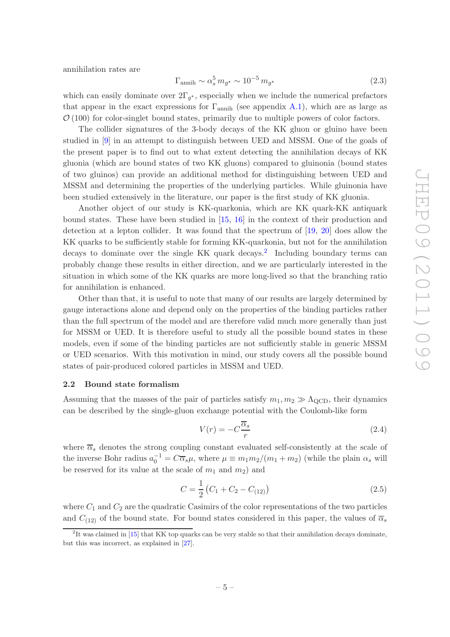annihilation rates are

$$
\Gamma_{\rm annih} \sim \alpha_s^5 m_{g^*} \sim 10^{-5} m_{g^*}
$$
\n(2.3)

which can easily dominate over  $2\Gamma_{g^*}$ , especially when we include the numerical prefactors that appear in the exact expressions for  $\Gamma_{\text{annih}}$  (see appendix [A.1\)](#page-27-0), which are as large as  $\mathcal{O}(100)$  for color-singlet bound states, primarily due to multiple powers of color factors.

The collider signatures of the 3-body decays of the KK gluon or gluino have been studied in [\[9](#page-36-3)] in an attempt to distinguish between UED and MSSM. One of the goals of the present paper is to find out to what extent detecting the annihilation decays of KK gluonia (which are bound states of two KK gluons) compared to gluinonia (bound states of two gluinos) can provide an additional method for distinguishing between UED and MSSM and determining the properties of the underlying particles. While gluinonia have been studied extensively in the literature, our paper is the first study of KK gluonia.

Another object of our study is KK-quarkonia, which are KK quark-KK antiquark bound states. These have been studied in [\[15,](#page-37-0) [16\]](#page-37-1) in the context of their production and detection at a lepton collider. It was found that the spectrum of [\[19](#page-37-4), [20](#page-37-5)] does allow the KK quarks to be sufficiently stable for forming KK-quarkonia, but not for the annihilation decays to dominate over the single KK quark decays.<sup>[2](#page-5-1)</sup> Including boundary terms can probably change these results in either direction, and we are particularly interested in the situation in which some of the KK quarks are more long-lived so that the branching ratio for annihilation is enhanced.

Other than that, it is useful to note that many of our results are largely determined by gauge interactions alone and depend only on the properties of the binding particles rather than the full spectrum of the model and are therefore valid much more generally than just for MSSM or UED. It is therefore useful to study all the possible bound states in these models, even if some of the binding particles are not sufficiently stable in generic MSSM or UED scenarios. With this motivation in mind, our study covers all the possible bound states of pair-produced colored particles in MSSM and UED.

#### <span id="page-5-0"></span>2.2 Bound state formalism

Assuming that the masses of the pair of particles satisfy  $m_1, m_2 \gg \Lambda_{\text{QCD}}$ , their dynamics can be described by the single-gluon exchange potential with the Coulomb-like form

<span id="page-5-2"></span>
$$
V(r) = -C\frac{\overline{\alpha}_s}{r}
$$
\n(2.4)

where  $\overline{\alpha}_s$  denotes the strong coupling constant evaluated self-consistently at the scale of the inverse Bohr radius  $a_0^{-1} = C\overline{\alpha}_s\mu$ , where  $\mu \equiv m_1m_2/(m_1 + m_2)$  (while the plain  $\alpha_s$  will be reserved for its value at the scale of  $m_1$  and  $m_2$ ) and

$$
C = \frac{1}{2} \left( C_1 + C_2 - C_{(12)} \right) \tag{2.5}
$$

where  $C_1$  and  $C_2$  are the quadratic Casimirs of the color representations of the two particles and  $C_{(12)}$  of the bound state. For bound states considered in this paper, the values of  $\overline{\alpha_s}$ 

<span id="page-5-1"></span><sup>&</sup>lt;sup>2</sup>It was claimed in [\[15](#page-37-0)] that KK top quarks can be very stable so that their annihilation decays dominate, but this was incorrect, as explained in [\[27](#page-37-12)].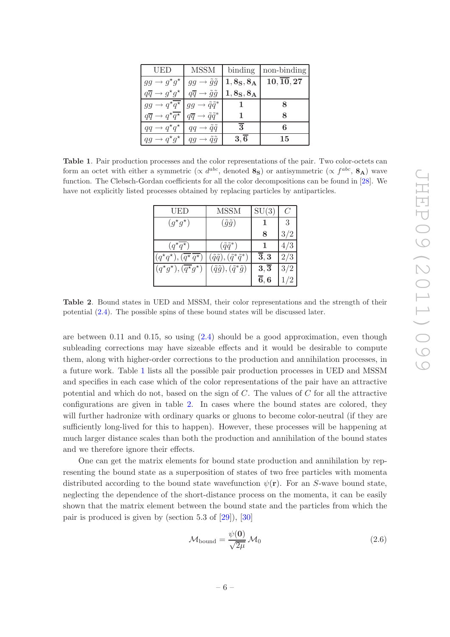| UED                                                            | <b>MSSM</b>                                         | binding          | non-binding           |
|----------------------------------------------------------------|-----------------------------------------------------|------------------|-----------------------|
| $gg \rightarrow g^{\star}g^{\star}$                            | $\rightarrow \tilde{g}\tilde{g}$<br>gg              | $1,8_S,8_A$      | $10,\overline{10},27$ |
| $q\overline{q} \rightarrow g^{\star} g^{\star}$                | $\rightarrow \tilde{q}\tilde{q}$<br>$q\overline{q}$ | $1, 8_S, 8_A$    |                       |
| $\rightarrow q^{\star}q^{\overline{\star}}$<br>gg              | $\rightarrow \tilde{q}\tilde{q}^*$<br>gg            |                  | 8                     |
| $\rightarrow q^{\star}q^{\overline{\star}}$<br>$q\overline{q}$ | $q\overline{q} \rightarrow \tilde{q}\tilde{q}^*$    |                  | 8                     |
| $qq \rightarrow q^{\star}q^{\star}$                            | $\rightarrow \tilde{q}\tilde{q}$<br>$q\overline{q}$ | $\overline{3}$   | 6                     |
| $q\overline{q}$                                                |                                                     | $3,\overline{6}$ | 15                    |

<span id="page-6-0"></span>Table 1. Pair production processes and the color representations of the pair. Two color-octets can form an octet with either a symmetric ( $\propto d^{abc}$ , denoted 8<sub>S</sub>) or antisymmetric ( $\propto f^{abc}$ , 8<sub>A</sub>) wave function. The Clebsch-Gordan coefficients for all the color decompositions can be found in [\[28](#page-37-13)]. We have not explicitly listed processes obtained by replacing particles by antiparticles.

| UED                                                     | <b>MSSM</b>                                      | SU(3)              | C   |
|---------------------------------------------------------|--------------------------------------------------|--------------------|-----|
| $(g^{\star}g^{\star})$                                  | $(\tilde{g}\tilde{g})$                           |                    | 3   |
|                                                         |                                                  | 8                  |     |
| $(q^{\star}q^{\star})$                                  | $(\tilde{q}\tilde{q}^*)$                         |                    |     |
| $(q^{\star}q^{\star}), (q^{\star}q^{\star})$            | $(\tilde{q}\tilde{q}), (\tilde{q}^*\tilde{q}^*)$ | $\overline{3},3$   | 2/3 |
| $(q^{\star}g^{\star}), (\overline{q^{\star}}g^{\star})$ | $(\tilde{q}\tilde{g}), (\tilde{q}^*\tilde{g})$   | $3,\overline{3}$   |     |
|                                                         |                                                  | $\overline{6}$ , 6 |     |

<span id="page-6-1"></span>Table 2. Bound states in UED and MSSM, their color representations and the strength of their potential [\(2.4\)](#page-5-2). The possible spins of these bound states will be discussed later.

are between 0.11 and 0.15, so using  $(2.4)$  should be a good approximation, even though subleading corrections may have sizeable effects and it would be desirable to compute them, along with higher-order corrections to the production and annihilation processes, in a future work. Table [1](#page-6-0) lists all the possible pair production processes in UED and MSSM and specifies in each case which of the color representations of the pair have an attractive potential and which do not, based on the sign of  $C$ . The values of  $C$  for all the attractive configurations are given in table [2.](#page-6-1) In cases where the bound states are colored, they will further hadronize with ordinary quarks or gluons to become color-neutral (if they are sufficiently long-lived for this to happen). However, these processes will be happening at much larger distance scales than both the production and annihilation of the bound states and we therefore ignore their effects.

One can get the matrix elements for bound state production and annihilation by representing the bound state as a superposition of states of two free particles with momenta distributed according to the bound state wavefunction  $\psi(\mathbf{r})$ . For an S-wave bound state, neglecting the dependence of the short-distance process on the momenta, it can be easily shown that the matrix element between the bound state and the particles from which the pair is produced is given by (section 5.3 of [\[29](#page-37-14)]), [\[30](#page-37-15)]

<span id="page-6-2"></span>
$$
\mathcal{M}_{\text{bound}} = \frac{\psi(\mathbf{0})}{\sqrt{2\mu}} \mathcal{M}_0 \tag{2.6}
$$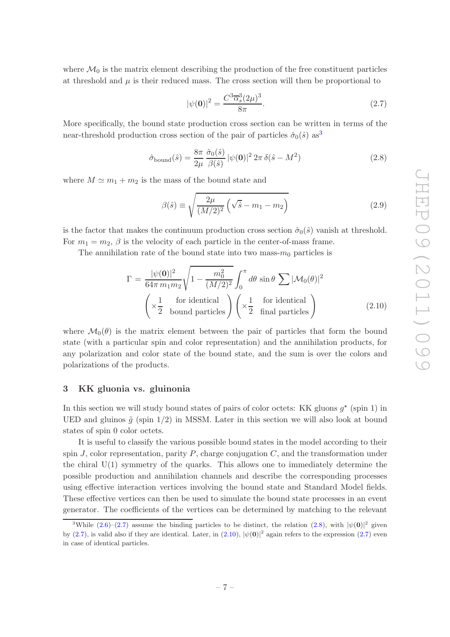where  $\mathcal{M}_0$  is the matrix element describing the production of the free constituent particles at threshold and  $\mu$  is their reduced mass. The cross section will then be proportional to

<span id="page-7-2"></span>
$$
|\psi(\mathbf{0})|^2 = \frac{C^3 \overline{\alpha}_s^3 (2\mu)^3}{8\pi}.
$$
\n(2.7)

More specifically, the bound state production cross section can be written in terms of the near-threshold production cross section of the pair of particles  $\hat{\sigma}_0(\hat{s})$  as<sup>[3](#page-7-1)</sup>

<span id="page-7-3"></span>
$$
\hat{\sigma}_{\text{bound}}(\hat{s}) = \frac{8\pi}{2\mu} \frac{\hat{\sigma}_0(\hat{s})}{\beta(\hat{s})} |\psi(\mathbf{0})|^2 2\pi \delta(\hat{s} - M^2)
$$
\n(2.8)

where  $M \simeq m_1 + m_2$  is the mass of the bound state and

$$
\beta(\hat{s}) \equiv \sqrt{\frac{2\mu}{(M/2)^2} \left(\sqrt{\hat{s}} - m_1 - m_2\right)}
$$
\n(2.9)

is the factor that makes the continuum production cross section  $\hat{\sigma}_0(\hat{s})$  vanish at threshold. For  $m_1 = m_2$ ,  $\beta$  is the velocity of each particle in the center-of-mass frame.

The annihilation rate of the bound state into two mass- $m_0$  particles is

<span id="page-7-4"></span>
$$
\Gamma = \frac{|\psi(\mathbf{0})|^2}{64\pi m_1 m_2} \sqrt{1 - \frac{m_0^2}{(M/2)^2}} \int_0^{\pi} d\theta \sin \theta \sum |\mathcal{M}_0(\theta)|^2
$$
  

$$
\left(\times \frac{1}{2} \quad \text{for identical} \atop \text{bound particles}\right) \left(\times \frac{1}{2} \quad \text{final particles}\right)
$$
 (2.10)

where  $\mathcal{M}_0(\theta)$  is the matrix element between the pair of particles that form the bound state (with a particular spin and color representation) and the annihilation products, for any polarization and color state of the bound state, and the sum is over the colors and polarizations of the products.

#### <span id="page-7-0"></span>3 KK gluonia vs. gluinonia

In this section we will study bound states of pairs of color octets: KK gluons  $g^*$  (spin 1) in UED and gluinos  $\tilde{g}$  (spin 1/2) in MSSM. Later in this section we will also look at bound states of spin 0 color octets.

It is useful to classify the various possible bound states in the model according to their spin J, color representation, parity P, charge conjugation  $C$ , and the transformation under the chiral U(1) symmetry of the quarks. This allows one to immediately determine the possible production and annihilation channels and describe the corresponding processes using effective interaction vertices involving the bound state and Standard Model fields. These effective vertices can then be used to simulate the bound state processes in an event generator. The coefficients of the vertices can be determined by matching to the relevant

<span id="page-7-1"></span><sup>&</sup>lt;sup>3</sup>While  $(2.6)-(2.7)$  $(2.6)-(2.7)$  assume the binding particles to be distinct, the relation  $(2.8)$ , with  $|\psi(\mathbf{0})|^2$  given by [\(2.7\)](#page-7-2), is valid also if they are identical. Later, in [\(2.10\)](#page-7-4),  $|\psi(0)|^2$  again refers to the expression (2.7) even in case of identical particles.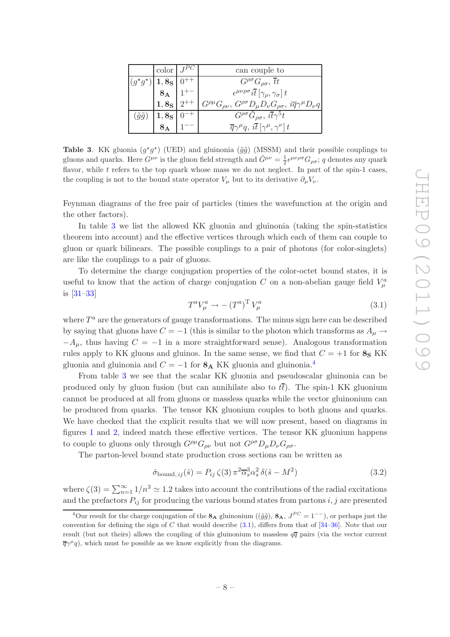|                        | $\text{color} \mid J^{PC}$ | can couple to                                                                                           |
|------------------------|----------------------------|---------------------------------------------------------------------------------------------------------|
|                        | $ 1,8_S $                  | $G^{\rho\sigma}G_{\rho\sigma}, \overline{t}t$                                                           |
|                        | $8_A$   1 <sup>+-</sup>    | $\epsilon^{\mu\nu\rho\sigma}i\overline{t}\left[\gamma_{\rho},\gamma_{\sigma}\right]t$                   |
|                        | 1,8 <sub>S</sub>           | $G^{\rho\mu}G_{\rho\nu}, G^{\rho\sigma}D_{\mu}D_{\nu}G_{\rho\sigma}, i\overline{q}\gamma^{\mu}D_{\nu}q$ |
| $(\tilde{g}\tilde{g})$ | $1,8_S$                    | $\overline{G^{\rho\sigma}}\tilde{G}_{\rho\sigma},\,i\overline{t}\gamma^5t$                              |
|                        | $8_{\text{A}}$             | $\overline{q}\gamma^{\mu}q, i\overline{t} [\gamma^{\mu},\gamma^{\nu}] t$                                |

<span id="page-8-0"></span>**Table 3.** KK gluonia  $(g^*g^*)$  (UED) and gluinonia  $(\tilde{g}\tilde{g})$  (MSSM) and their possible couplings to gluons and quarks. Here  $G^{\mu\nu}$  is the gluon field strength and  $\tilde{G}^{\mu\nu} = \frac{1}{2} \epsilon^{\mu\nu\rho\sigma} G_{\rho\sigma}$ ; q denotes any quark flavor, while  $t$  refers to the top quark whose mass we do not neglect. In part of the spin-1 cases, the coupling is not to the bound state operator  $V_\mu$  but to its derivative  $\partial_\mu V_\nu$ .

Feynman diagrams of the free pair of particles (times the wavefunction at the origin and the other factors).

In table [3](#page-8-0) we list the allowed KK gluonia and gluinonia (taking the spin-statistics theorem into account) and the effective vertices through which each of them can couple to gluon or quark bilinears. The possible couplings to a pair of photons (for color-singlets) are like the couplings to a pair of gluons.

To determine the charge conjugation properties of the color-octet bound states, it is useful to know that the action of charge conjugation C on a non-abelian gauge field  $V^a_\mu$ is [\[31](#page-37-16)[–33](#page-37-17)]

<span id="page-8-2"></span>
$$
T^a V^a_\mu \to -\left(T^a\right)^T V^a_\mu \tag{3.1}
$$

where  $T^a$  are the generators of gauge transformations. The minus sign here can be described by saying that gluons have  $C = -1$  (this is similar to the photon which transforms as  $A<sub>u</sub> \rightarrow$  $-A_{\mu}$ , thus having  $C = -1$  in a more straightforward sense). Analogous transformation rules apply to KK gluons and gluinos. In the same sense, we find that  $C = +1$  for  $\mathbf{8}_{S}$  KK gluonia and gluinonia and  $C = -1$  for  $\mathbf{8}_{\mathbf{A}}$  KK gluonia and gluinonia.<sup>[4](#page-8-1)</sup>

From table [3](#page-8-0) we see that the scalar KK gluonia and pseudoscalar gluinonia can be produced only by gluon fusion (but can annihilate also to  $t\bar{t}$ ). The spin-1 KK gluonium cannot be produced at all from gluons or massless quarks while the vector gluinonium can be produced from quarks. The tensor KK gluonium couples to both gluons and quarks. We have checked that the explicit results that we will now present, based on diagrams in figures [1](#page-9-0) and [2,](#page-9-1) indeed match these effective vertices. The tensor KK gluonium happens to couple to gluons only through  $G^{\rho\mu}G_{\rho\nu}$  but not  $G^{\rho\sigma}D_{\mu}D_{\nu}G_{\rho\sigma}$ .

The parton-level bound state production cross sections can be written as

<span id="page-8-3"></span>
$$
\hat{\sigma}_{\text{bound},ij}(\hat{s}) = P_{ij} \zeta(3) \pi^2 \overline{\alpha}_s^3 \alpha_s^2 \delta(\hat{s} - M^2)
$$
\n(3.2)

where  $\zeta(3) = \sum_{n=1}^{\infty} 1/n^3 \simeq 1.2$  takes into account the contributions of the radial excitations and the prefactors  $P_{ij}$  for producing the various bound states from partons i, j are presented

<span id="page-8-1"></span><sup>&</sup>lt;sup>4</sup>Our result for the charge conjugation of the  $\mathbf{8}_{\mathbf{A}}$  gluinonium (( $\tilde{g}\tilde{g}$ ),  $\mathbf{8}_{\mathbf{A}}$ ,  $J^{PC} = 1^{--}$ ), or perhaps just the convention for defining the sign of  $C$  that would describe  $(3.1)$ , differs from that of  $[34-36]$ . Note that our result (but not theirs) allows the coupling of this gluinonium to massless  $q\bar{q}$  pairs (via the vector current  $\overline{q}\gamma^{\mu}q$ , which must be possible as we know explicitly from the diagrams.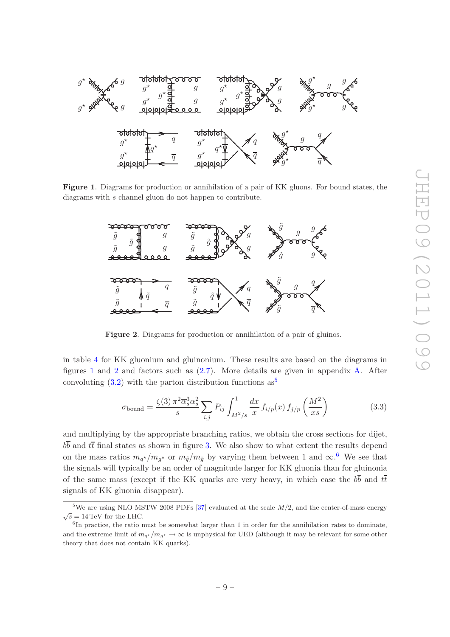

Figure 1. Diagrams for production or annihilation of a pair of KK gluons. For bound states, the diagrams with s channel gluon do not happen to contribute.

<span id="page-9-0"></span>

<span id="page-9-1"></span>Figure 2. Diagrams for production or annihilation of a pair of gluinos.

in table [4](#page-10-0) for KK gluonium and gluinonium. These results are based on the diagrams in figures [1](#page-9-0) and [2](#page-9-1) and factors such as [\(2.7\)](#page-7-2). More details are given in appendix [A.](#page-26-0) After convoluting  $(3.2)$  with the parton distribution functions as  $5^5$  $5^5$ 

$$
\sigma_{\text{bound}} = \frac{\zeta(3)\,\pi^2\overline{\alpha}_s^3\alpha_s^2}{s} \sum_{i,j} P_{ij} \int_{M^2/s}^1 \frac{dx}{x} f_{i/p}(x) f_{j/p}\left(\frac{M^2}{xs}\right) \tag{3.3}
$$

and multiplying by the appropriate branching ratios, we obtain the cross sections for dijet,  $b\overline{b}$  and  $t\overline{t}$  final states as shown in figure [3.](#page-11-0) We also show to what extent the results depend on the mass ratios  $m_{q^*}/m_{g^*}$  or  $m_{\tilde{q}}/m_{\tilde{g}}$  by varying them between 1 and  $\infty$ .<sup>[6](#page-9-3)</sup> We see that the signals will typically be an order of magnitude larger for KK gluonia than for gluinonia of the same mass (except if the KK quarks are very heavy, in which case the  $b\overline{b}$  and  $t\overline{t}$ signals of KK gluonia disappear).

<span id="page-9-2"></span><sup>&</sup>lt;sup>5</sup>We are using NLO MSTW 2008 PDFs [\[37](#page-38-1)] evaluated at the scale  $M/2$ , and the center-of-mass energy  $\sqrt{s} = 14 \,\text{TeV}$  for the LHC.

<span id="page-9-3"></span><sup>&</sup>lt;sup>6</sup>In practice, the ratio must be somewhat larger than 1 in order for the annihilation rates to dominate, and the extreme limit of  $m_{q^*}/m_{g^*} \to \infty$  is unphysical for UED (although it may be relevant for some other theory that does not contain KK quarks).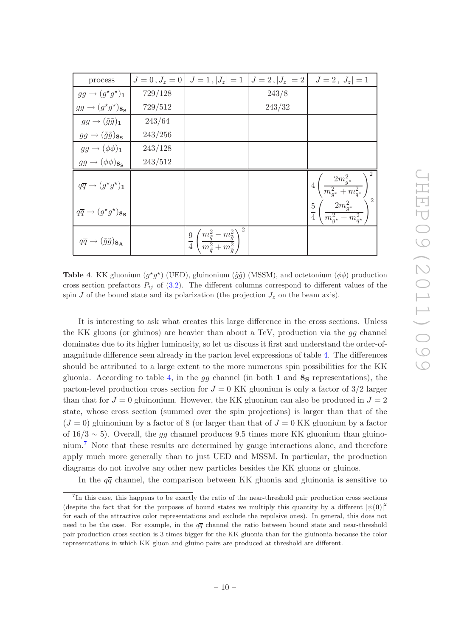| process                                                                                                                                                                                                                     |         | $J=0, J_z=0$ $J=1,  J_z =1$ $J=2,  J_z =2$ $J=2,  J_z =1$                                           |        |                                                                                                                                                                                                 |  |  |
|-----------------------------------------------------------------------------------------------------------------------------------------------------------------------------------------------------------------------------|---------|-----------------------------------------------------------------------------------------------------|--------|-------------------------------------------------------------------------------------------------------------------------------------------------------------------------------------------------|--|--|
| $\rightarrow (g^{\star}g^{\star})_1$                                                                                                                                                                                        | 729/128 |                                                                                                     | 243/8  |                                                                                                                                                                                                 |  |  |
| $\rightarrow (g^{\star}g^{\star})_{\mathbf{8}_{\mathbf{S}}}$                                                                                                                                                                | 729/512 |                                                                                                     | 243/32 |                                                                                                                                                                                                 |  |  |
| $g \rightarrow (\tilde{g}\tilde{g})_{\mathbf{1}}$                                                                                                                                                                           | 243/64  |                                                                                                     |        |                                                                                                                                                                                                 |  |  |
| $\rightarrow (\tilde{g}\tilde{g})_{\mathbf{8g}}$                                                                                                                                                                            | 243/256 |                                                                                                     |        |                                                                                                                                                                                                 |  |  |
| $q \rightarrow (\phi \phi)_{1}$                                                                                                                                                                                             | 243/128 |                                                                                                     |        |                                                                                                                                                                                                 |  |  |
| $\rightarrow (\phi \phi)_{\mathbf{8_S}}$                                                                                                                                                                                    | 243/512 |                                                                                                     |        |                                                                                                                                                                                                 |  |  |
| $\rightarrow (g^{\star}g^{\star})_1$                                                                                                                                                                                        |         |                                                                                                     |        | $\begin{split} &4\left(\frac{2m_{g^\star}^2}{m_{g^\star}^2+m_{q^\star}^2}\right)^{\!\!\!1}\\ &\frac{5}{4}\left(\frac{2m_{g^\star}^2}{m_{g^\star}^2+m_{q^\star}^2}\right)^{\!\!\!1} \end{split}$ |  |  |
| $\rightarrow (g^{\star}g^{\star})_{\mathbf{8}_{\mathbf{S}}}$                                                                                                                                                                |         |                                                                                                     |        |                                                                                                                                                                                                 |  |  |
| $\rightarrow (\tilde{g}\tilde{g})_{\mathbf{8}_{\mathbf{A}}}$                                                                                                                                                                |         | $\frac{9}{4}\left(\frac{m_{\tilde{q}}^2-m_{\tilde{g}}^2}{m_{\tilde{q}}^2+m_{\tilde{z}}^2}\right)^2$ |        |                                                                                                                                                                                                 |  |  |
| <b>4.</b> KK gluonium $(g^*g^*)$ (UED), gluinonium $(\tilde{g}\tilde{g})$ (MSSM), and octetonium $(\phi\phi)$ production<br>ction prefactors $P_{ij}$ of (3.2). The different columns correspond to different values of the |         |                                                                                                     |        |                                                                                                                                                                                                 |  |  |

<span id="page-10-0"></span>**Table 4.** KK gluonium  $(g^*g^*)$  (UED), gluinonium  $(\tilde{g}\tilde{g})$  (MSSM), and octetonium  $(\phi\phi)$  production cross section prefactors  $P_{ij}$  of  $(3.2)$ . The spin J of the bound state and its polarization (the projection  $J_z$  on the beam axis).

 $gg \to (g^{\star} g^{\star}$ 

 $gg \to (g^{\star}g^{\star})_{\mathbf{8_S}}$ 

 $gg \to (\tilde{g}\tilde{g})_{8_S}$ 

 $gg \rightarrow (\phi \phi)_{8s}$ 

 $q\overline{q} \rightarrow (g^{\star}g^{\star}$ 

 $q\overline{q} \rightarrow (g^{\star}g^{\star})_{\mathbf{8g}}$ 

 $q\overline{q} \rightarrow (\tilde{g}\tilde{g})_{\mathbf{8}_{\mathbf{A}}}$ 

 $gg \rightarrow (\tilde{g}\tilde{g})_1$  243/64

 $qq \to (\phi \phi)_1$  243/128

It is interesting to ask what creates this large difference in the cross sections. Unless the KK gluons (or gluinos) are heavier than about a TeV, production via the gg channel dominates due to its higher luminosity, so let us discuss it first and understand the order-ofmagnitude difference seen already in the parton level expressions of table [4.](#page-10-0) The differences should be attributed to a large extent to the more numerous spin possibilities for the KK gluonia. According to table [4,](#page-10-0) in the  $gg$  channel (in both 1 and  $\mathbf{8}_{\mathbf{S}}$  representations), the parton-level production cross section for  $J = 0$  KK gluonium is only a factor of  $3/2$  larger than that for  $J = 0$  gluinonium. However, the KK gluonium can also be produced in  $J = 2$ state, whose cross section (summed over the spin projections) is larger than that of the  $(J = 0)$  gluinonium by a factor of 8 (or larger than that of  $J = 0$  KK gluonium by a factor of  $16/3 \sim 5$ ). Overall, the gg channel produces 9.5 times more KK gluonium than gluinonium.[7](#page-10-1) Note that these results are determined by gauge interactions alone, and therefore apply much more generally than to just UED and MSSM. In particular, the production diagrams do not involve any other new particles besides the KK gluons or gluinos.

In the  $q\bar{q}$  channel, the comparison between KK gluonia and gluinonia is sensitive to

<span id="page-10-1"></span><sup>7</sup> In this case, this happens to be exactly the ratio of the near-threshold pair production cross sections (despite the fact that for the purposes of bound states we multiply this quantity by a different  $|\psi(0)|^2$ for each of the attractive color representations and exclude the repulsive ones). In general, this does not need to be the case. For example, in the  $q\overline{q}$  channel the ratio between bound state and near-threshold pair production cross section is 3 times bigger for the KK gluonia than for the gluinonia because the color representations in which KK gluon and gluino pairs are produced at threshold are different.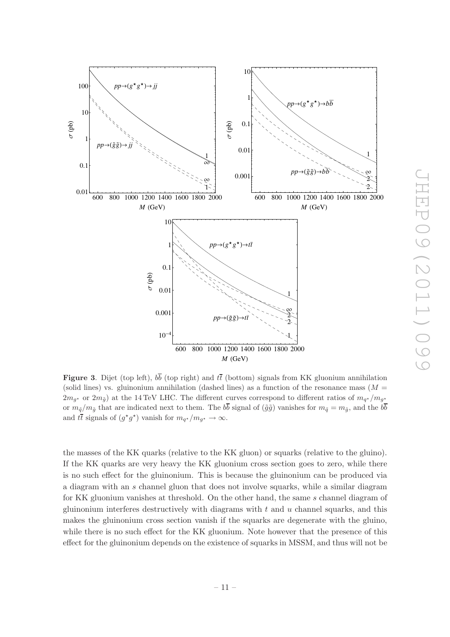

<span id="page-11-0"></span>**Figure 3.** Dijet (top left),  $b\overline{b}$  (top right) and  $t\overline{t}$  (bottom) signals from KK gluonium annihilation (solid lines) vs. gluinonium annihilation (dashed lines) as a function of the resonance mass  $(M =$  $2m_{g^*}$  or  $2m_{\tilde{g}}$ ) at the 14 TeV LHC. The different curves correspond to different ratios of  $m_{q^*}/m_{g^*}$ or  $m_{\tilde{q}}/m_{\tilde{g}}$  that are indicated next to them. The  $b\bar{b}$  signal of  $(\tilde{g}\tilde{g})$  vanishes for  $m_{\tilde{q}} = m_{\tilde{g}}$ , and the  $b\bar{b}$ and  $t\bar{t}$  signals of  $(g^*g^*)$  vanish for  $m_{q^*}/m_{g^*} \to \infty$ .

the masses of the KK quarks (relative to the KK gluon) or squarks (relative to the gluino). If the KK quarks are very heavy the KK gluonium cross section goes to zero, while there is no such effect for the gluinonium. This is because the gluinonium can be produced via a diagram with an s channel gluon that does not involve squarks, while a similar diagram for KK gluonium vanishes at threshold. On the other hand, the same s channel diagram of gluinonium interferes destructively with diagrams with  $t$  and  $u$  channel squarks, and this makes the gluinonium cross section vanish if the squarks are degenerate with the gluino, while there is no such effect for the KK gluonium. Note however that the presence of this effect for the gluinonium depends on the existence of squarks in MSSM, and thus will not be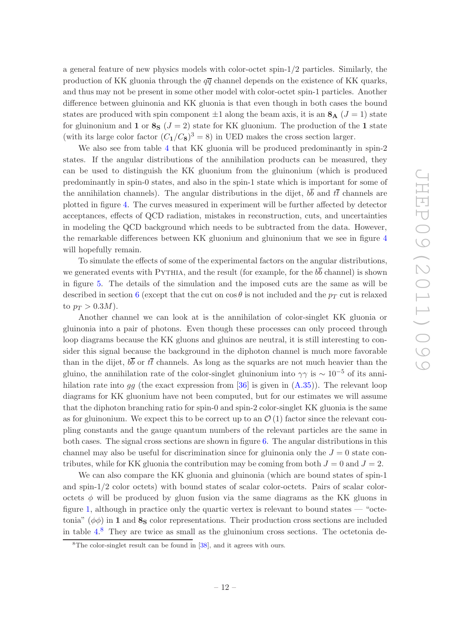a general feature of new physics models with color-octet spin-1/2 particles. Similarly, the production of KK gluonia through the  $q\bar{q}$  channel depends on the existence of KK quarks, and thus may not be present in some other model with color-octet spin-1 particles. Another difference between gluinonia and KK gluonia is that even though in both cases the bound states are produced with spin component  $\pm 1$  along the beam axis, it is an  $\mathbf{8}_{\mathbf{A}}$  ( $J = 1$ ) state for gluinonium and 1 or  $\mathbf{8}_{\mathbf{S}}$  ( $J=2$ ) state for KK gluonium. The production of the 1 state (with its large color factor  $(C_1/C_8)^3 = 8$ ) in UED makes the cross section larger.

We also see from table [4](#page-10-0) that KK gluonia will be produced predominantly in spin-2 states. If the angular distributions of the annihilation products can be measured, they can be used to distinguish the KK gluonium from the gluinonium (which is produced predominantly in spin-0 states, and also in the spin-1 state which is important for some of the annihilation channels). The angular distributions in the dijet,  $b\overline{b}$  and  $t\overline{t}$  channels are plotted in figure [4.](#page-13-0) The curves measured in experiment will be further affected by detector acceptances, effects of QCD radiation, mistakes in reconstruction, cuts, and uncertainties in modeling the QCD background which needs to be subtracted from the data. However, the remarkable differences between KK gluonium and gluinonium that we see in figure [4](#page-13-0) will hopefully remain.

To simulate the effects of some of the experimental factors on the angular distributions, we generated events with PYTHIA, and the result (for example, for the  $b\overline{b}$  channel) is shown in figure [5.](#page-14-1) The details of the simulation and the imposed cuts are the same as will be described in section [6](#page-21-0) (except that the cut on  $\cos \theta$  is not included and the  $p_T$  cut is relaxed to  $p_T > 0.3M$ ).

Another channel we can look at is the annihilation of color-singlet KK gluonia or gluinonia into a pair of photons. Even though these processes can only proceed through loop diagrams because the KK gluons and gluinos are neutral, it is still interesting to consider this signal because the background in the diphoton channel is much more favorable than in the dijet,  $b\overline{b}$  or  $t\overline{t}$  channels. As long as the squarks are not much heavier than the gluino, the annihilation rate of the color-singlet gluinonium into  $\gamma\gamma$  is  $\sim 10^{-5}$  of its annihilation rate into gg (the exact expression from  $[36]$  is given in  $(A.35)$ ). The relevant loop diagrams for KK gluonium have not been computed, but for our estimates we will assume that the diphoton branching ratio for spin-0 and spin-2 color-singlet KK gluonia is the same as for gluinonium. We expect this to be correct up to an  $\mathcal{O}(1)$  factor since the relevant coupling constants and the gauge quantum numbers of the relevant particles are the same in both cases. The signal cross sections are shown in figure [6.](#page-14-2) The angular distributions in this channel may also be useful for discrimination since for gluinonia only the  $J = 0$  state contributes, while for KK gluonia the contribution may be coming from both  $J = 0$  and  $J = 2$ .

We can also compare the KK gluonia and gluinonia (which are bound states of spin-1 and spin-1/2 color octets) with bound states of scalar color-octets. Pairs of scalar coloroctets  $\phi$  will be produced by gluon fusion via the same diagrams as the KK gluons in figure [1,](#page-9-0) although in practice only the quartic vertex is relevant to bound states — "octetonia"  $(\phi \phi)$  in 1 and  $\mathbf{8}_{\mathbf{S}}$  color representations. Their production cross sections are included in table [4.](#page-10-0) [8](#page-12-0) They are twice as small as the gluinonium cross sections. The octetonia de-

<span id="page-12-0"></span> ${}^{8}$ The color-singlet result can be found in [\[38](#page-38-2)], and it agrees with ours.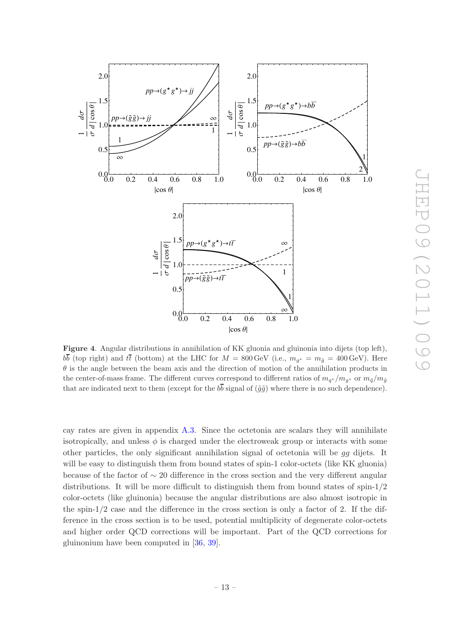

<span id="page-13-0"></span>Figure 4. Angular distributions in annihilation of KK gluonia and gluinonia into dijets (top left),  $b\overline{b}$  (top right) and  $t\overline{t}$  (bottom) at the LHC for  $M = 800 \,\text{GeV}$  (i.e.,  $m_{g^*} = m_{\tilde{g}} = 400 \,\text{GeV}$ ). Here  $\theta$  is the angle between the beam axis and the direction of motion of the annihilation products in the center-of-mass frame. The different curves correspond to different ratios of  $m_{q^*}/m_{g^*}$  or  $m_{\tilde{q}}/m_{\tilde{g}}$ that are indicated next to them (except for the  $b\bar{b}$  signal of  $(\tilde{q}\tilde{q})$ ) where there is no such dependence).

cay rates are given in appendix  $A.3$ . Since the octetonia are scalars they will annihilate isotropically, and unless  $\phi$  is charged under the electroweak group or interacts with some other particles, the only significant annihilation signal of octetonia will be gg dijets. It will be easy to distinguish them from bound states of spin-1 color-octets (like KK gluonia) because of the factor of ∼ 20 difference in the cross section and the very different angular distributions. It will be more difficult to distinguish them from bound states of spin-1/2 color-octets (like gluinonia) because the angular distributions are also almost isotropic in the spin- $1/2$  case and the difference in the cross section is only a factor of 2. If the difference in the cross section is to be used, potential multiplicity of degenerate color-octets and higher order QCD corrections will be important. Part of the QCD corrections for gluinonium have been computed in [\[36](#page-38-0), [39\]](#page-38-3).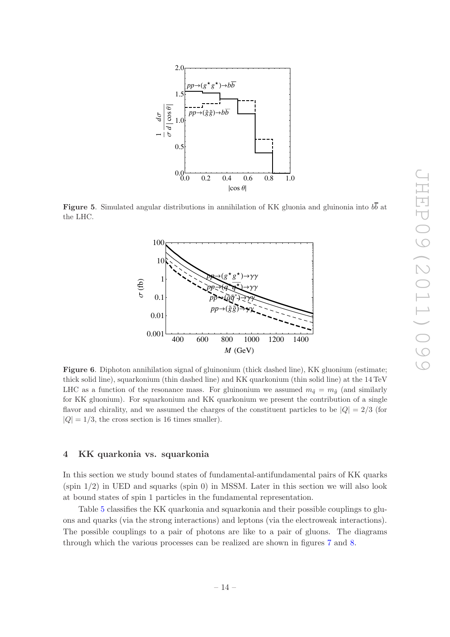

**Figure 5.** Simulated angular distributions in annihilation of KK gluonia and gluinonia into  $b\bar{b}$  at the LHC.

<span id="page-14-1"></span>

<span id="page-14-2"></span>Figure 6. Diphoton annihilation signal of gluinonium (thick dashed line), KK gluonium (estimate; thick solid line), squarkonium (thin dashed line) and KK quarkonium (thin solid line) at the 14 TeV LHC as a function of the resonance mass. For gluinonium we assumed  $m_{\tilde{q}} = m_{\tilde{q}}$  (and similarly for KK gluonium). For squarkonium and KK quarkonium we present the contribution of a single flavor and chirality, and we assumed the charges of the constituent particles to be  $|Q| = 2/3$  (for  $|Q| = 1/3$ , the cross section is 16 times smaller).

### <span id="page-14-0"></span>4 KK quarkonia vs. squarkonia

In this section we study bound states of fundamental-antifundamental pairs of KK quarks  $(\text{spin }1/2)$  in UED and squarks  $(\text{spin }0)$  in MSSM. Later in this section we will also look at bound states of spin 1 particles in the fundamental representation.

Table [5](#page-15-0) classifies the KK quarkonia and squarkonia and their possible couplings to gluons and quarks (via the strong interactions) and leptons (via the electroweak interactions). The possible couplings to a pair of photons are like to a pair of gluons. The diagrams through which the various processes can be realized are shown in figures [7](#page-16-0) and [8.](#page-16-1)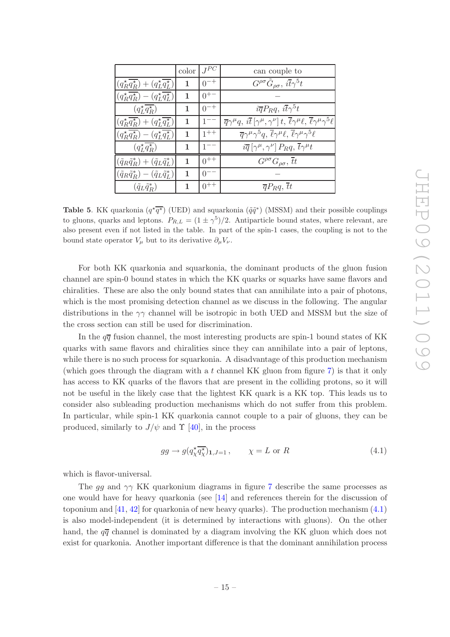|                                                                               | color $J^{PC}$ |          | can couple to                                                                                                                                          |
|-------------------------------------------------------------------------------|----------------|----------|--------------------------------------------------------------------------------------------------------------------------------------------------------|
| $(q_R^{\star}q_R^{\star}) + (q_L^{\star}q_L^{\star})$                         | $\mathbf{1}$   | $0^{-+}$ | $G^{\rho\sigma}\tilde{G}_{\rho\sigma}, i\overline{t}\gamma^5t$                                                                                         |
| $(q_R^{\star}\overline{q_R^{\star}})- (q_L^{\star}\overline{q_L^{\star}})$    | $\mathbf{1}$   | $0^{+-}$ |                                                                                                                                                        |
| $(q_L^{\star} \overline{q_R^{\star}})$                                        | 1              | $0^{-+}$ | $i\overline{q}P_Rq, i\overline{t}\gamma^5t$                                                                                                            |
| $(q_R^{\star} \overline{q_R^{\star}}) + (q_L^{\star} \overline{q_L^{\star}})$ | 1              | $1^{--}$ | $\overline{q}\gamma^{\mu}q, i\overline{t} [\gamma^{\mu},\gamma^{\nu}] t, \overline{\ell}\gamma^{\mu} \ell, \overline{\ell}\gamma^{\mu}\gamma^{5} \ell$ |
| $(q_R^{\star}q_R^{\star}) - (q_L^{\star}q_L^{\star})$                         | 1              | $1^{++}$ | $\overline{q}\gamma^{\mu}\gamma^{5}q, \overline{\ell}\gamma^{\mu}\ell, \overline{\ell}\gamma^{\mu}\gamma^{5}\ell$                                      |
| $(q_L^{\star}q_R^{\star})$                                                    | 1              | $1 - -$  | $i\overline{q} [\gamma^{\mu}, \gamma^{\nu}] P_R q, \overline{t} \gamma^{\mu} t$                                                                        |
| $(\tilde{q}_R \tilde{q}_R^*) + (\tilde{q}_L \tilde{q}_L^*)$                   | 1              | $0^{++}$ | $G^{\rho\sigma}G_{\rho\sigma}, \bar{t}t$                                                                                                               |
| $(\tilde{q}_R \tilde{q}_R^*) - (\tilde{q}_L \tilde{q}_L^*)$                   | 1              | $\theta$ |                                                                                                                                                        |
| $(\tilde{q}_L \tilde{q}_R^*)$                                                 | 1              | $0^{++}$ | $\overline{q}P_Rq, \overline{t}t$                                                                                                                      |

<span id="page-15-0"></span>**Table 5.** KK quarkonia  $(q^*\overline{q^*})$  (UED) and squarkonia  $(\tilde{q}\tilde{q}^*)$  (MSSM) and their possible couplings to gluons, quarks and leptons.  $P_{R,L} = (1 \pm \gamma^5)/2$ . Antiparticle bound states, where relevant, are also present even if not listed in the table. In part of the spin-1 cases, the coupling is not to the bound state operator  $V_\mu$  but to its derivative  $\partial_\mu V_\nu$ .

For both KK quarkonia and squarkonia, the dominant products of the gluon fusion channel are spin-0 bound states in which the KK quarks or squarks have same flavors and chiralities. These are also the only bound states that can annihilate into a pair of photons, which is the most promising detection channel as we discuss in the following. The angular distributions in the  $\gamma\gamma$  channel will be isotropic in both UED and MSSM but the size of the cross section can still be used for discrimination.

In the  $q\bar{q}$  fusion channel, the most interesting products are spin-1 bound states of KK quarks with same flavors and chiralities since they can annihilate into a pair of leptons, while there is no such process for squarkonia. A disadvantage of this production mechanism (which goes through the diagram with a t channel KK gluon from figure [7\)](#page-16-0) is that it only has access to KK quarks of the flavors that are present in the colliding protons, so it will not be useful in the likely case that the lightest KK quark is a KK top. This leads us to consider also subleading production mechanisms which do not suffer from this problem. In particular, while spin-1 KK quarkonia cannot couple to a pair of gluons, they can be produced, similarly to  $J/\psi$  and  $\Upsilon$  [\[40](#page-38-4)], in the process

<span id="page-15-1"></span>
$$
gg \to g(q_{\chi}^{\star} \overline{q_{\chi}^{\star}})_{1,J=1}, \qquad \chi = L \text{ or } R
$$
 (4.1)

which is flavor-universal.

The qq and  $\gamma\gamma$  KK quarkonium diagrams in figure [7](#page-16-0) describe the same processes as one would have for heavy quarkonia (see [\[14](#page-36-2)] and references therein for the discussion of toponium and  $[41, 42]$  $[41, 42]$  $[41, 42]$  for quarkonia of new heavy quarks). The production mechanism  $(4.1)$ is also model-independent (it is determined by interactions with gluons). On the other hand, the  $q\bar{q}$  channel is dominated by a diagram involving the KK gluon which does not exist for quarkonia. Another important difference is that the dominant annihilation process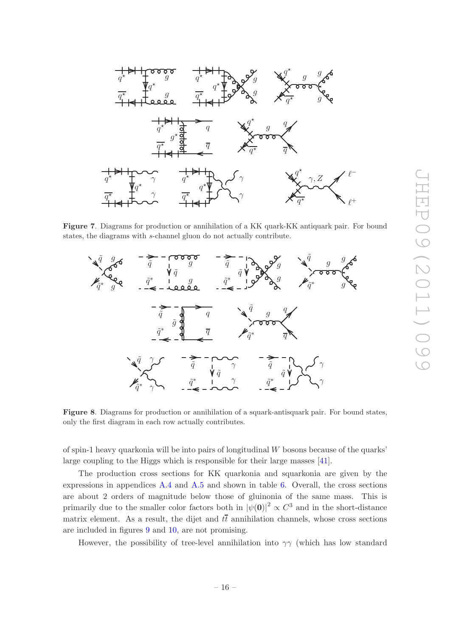

Figure 7. Diagrams for production or annihilation of a KK quark-KK antiquark pair. For bound states, the diagrams with s-channel gluon do not actually contribute.

<span id="page-16-0"></span>

<span id="page-16-1"></span>**Figure 8.** Diagrams for production or annihilation of a squark-antisquark pair. For bound states, only the first diagram in each row actually contributes.

of spin-1 heavy quarkonia will be into pairs of longitudinal W bosons because of the quarks' large coupling to the Higgs which is responsible for their large masses  $[41]$ .

The production cross sections for KK quarkonia and squarkonia are given by the expressions in appendices  $A.4$  and  $A.5$  and shown in table 6. Overall, the cross sections are about 2 orders of magnitude below those of gluinonia of the same mass. This is primarily due to the smaller color factors both in  $|\psi(0)|^2 \propto C^3$  and in the short-distance matrix element. As a result, the dijet and  $t\bar{t}$  annihilation channels, whose cross sections are included in figures  $9$  and  $10$ , are not promising.

However, the possibility of tree-level annihilation into  $\gamma\gamma$  (which has low standard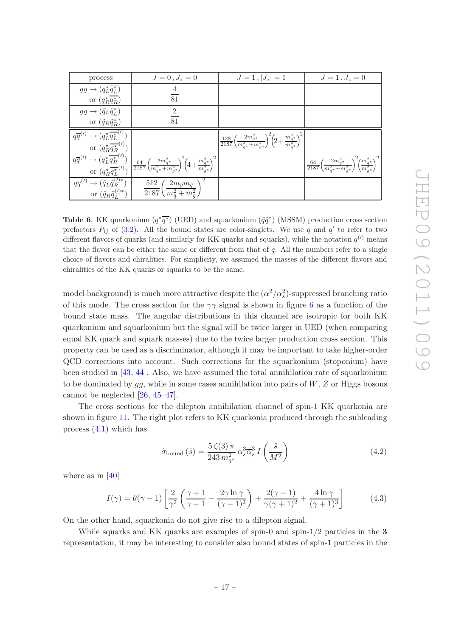| process                                                                      | $J=0$ , $J_z=0$                                                                                                                                                                                                                                                                                               | $J=1,  J_z =1$                                                                                                                                                   | $J=1, J_z=0$                                                                                                                                                                                      |
|------------------------------------------------------------------------------|---------------------------------------------------------------------------------------------------------------------------------------------------------------------------------------------------------------------------------------------------------------------------------------------------------------|------------------------------------------------------------------------------------------------------------------------------------------------------------------|---------------------------------------------------------------------------------------------------------------------------------------------------------------------------------------------------|
| $gg \rightarrow (q_L^{\star} q_L^{\star})$                                   | 4                                                                                                                                                                                                                                                                                                             |                                                                                                                                                                  |                                                                                                                                                                                                   |
| or $(q_R^{\star}q_R^{\star})$                                                | 81                                                                                                                                                                                                                                                                                                            |                                                                                                                                                                  |                                                                                                                                                                                                   |
| $gg \rightarrow (\tilde{q}_L \tilde{q}_L^*)$                                 | $\mathfrak{D}$                                                                                                                                                                                                                                                                                                |                                                                                                                                                                  |                                                                                                                                                                                                   |
| or $(\tilde{q}_R \tilde{q}_R^*)$                                             | 81                                                                                                                                                                                                                                                                                                            |                                                                                                                                                                  |                                                                                                                                                                                                   |
| $q\overline{q}^{(l)} \rightarrow (q_L^{\star} \overline{q_L^{\star}}^{(l)})$ |                                                                                                                                                                                                                                                                                                               | $\left  \frac{128}{2187} \left( \frac{2 m_{q\star}^2}{m_{q\star}^2 + m_{q\star}^2} \right)^2 \left( 2 + \frac{m_{q\star}^2}{m_{\star\star}^2} \right)^2 \right $ |                                                                                                                                                                                                   |
| or $(q_B^{\star} \overline{q_B^{\star}}^{(l)})$                              |                                                                                                                                                                                                                                                                                                               |                                                                                                                                                                  |                                                                                                                                                                                                   |
|                                                                              | $\frac{q\overline{q}^{(\prime)}\rightarrow (q_L^\star\overline{q_R^\star}^{(\prime)})}{\text{or } (q_R^\star\overline{q_L^\star}^{(\prime)})}\Bigg  \tfrac{64}{2187}\Big(\tfrac{2m_{q^\star}^2}{m_{q^\star}^2+m_{g^\star}^2}\Big)^{\!\!2}\!\Big( \!4\!+\!\tfrac{m_{q^\star}^2}{m_{g^\star}^2}\!\Big)^{\!\!2}$ |                                                                                                                                                                  | $\bigg  \tfrac{64}{2187} \bigg( \tfrac{2 m_{q^\star}^2}{m_{q^\star}^2 + m_{q^\star}^2} \bigg)^{\!\!2} \bigg( \tfrac{m_{q^\star}^2}{m_{_{\hspace{-.2mm}{\small \times}}^2}} \bigg)^{\!\!2} \bigg $ |
|                                                                              |                                                                                                                                                                                                                                                                                                               |                                                                                                                                                                  |                                                                                                                                                                                                   |
| $q\overline{q}^{(\prime)} \rightarrow (\tilde{q}_L \tilde{q}_R^{(\prime)*})$ | $\frac{512}{2187}\bigg(\frac{2m_{\tilde{g}}m_{\tilde{q}}}{m_{\tilde{q}}^2+m_{\tilde{q}}^2}\bigg)$                                                                                                                                                                                                             |                                                                                                                                                                  |                                                                                                                                                                                                   |
| or $(\tilde{q}_R\tilde{q}_\tau^{(\prime)*})$                                 |                                                                                                                                                                                                                                                                                                               |                                                                                                                                                                  |                                                                                                                                                                                                   |

<span id="page-17-0"></span>**Table 6.** KK quarkonium  $(q^*\overline{q^*})$  (UED) and squarkonium  $(\tilde{q}\tilde{q}^*)$  (MSSM) production cross section prefactors  $P_{ij}$  of [\(3.2\)](#page-8-3). All the bound states are color-singlets. We use q and q' to refer to two different flavors of quarks (and similarly for KK quarks and squarks), while the notation  $q^{(l)}$  means that the flavor can be either the same or different from that of  $q$ . All the numbers refer to a single choice of flavors and chiralities. For simplicity, we assumed the masses of the different flavors and chiralities of the KK quarks or squarks to be the same.

model background) is much more attractive despite the  $(\alpha^2/\alpha_s^2)$ -suppressed branching ratio of this mode. The cross section for the  $\gamma\gamma$  signal is shown in figure [6](#page-14-2) as a function of the bound state mass. The angular distributions in this channel are isotropic for both KK quarkonium and squarkonium but the signal will be twice larger in UED (when comparing equal KK quark and squark masses) due to the twice larger production cross section. This property can be used as a discriminator, although it may be important to take higher-order QCD corrections into account. Such corrections for the squarkonium (stoponium) have been studied in [\[43,](#page-38-7) [44](#page-38-8)]. Also, we have assumed the total annihilation rate of squarkonium to be dominated by  $gg$ , while in some cases annihilation into pairs of  $W$ ,  $Z$  or Higgs bosons cannot be neglected [\[26,](#page-37-11) [45](#page-38-9)[–47\]](#page-38-10).

The cross sections for the dilepton annihilation channel of spin-1 KK quarkonia are shown in figure [11.](#page-19-1) The right plot refers to KK quarkonia produced through the subleading process [\(4.1\)](#page-15-1) which has

$$
\hat{\sigma}_{\text{bound}}\left(\hat{s}\right) = \frac{5\,\zeta(3)\,\pi}{243\,m_{q^*}^2} \,\alpha_s^3 \overline{\alpha}_s^3 \,I\left(\frac{\hat{s}}{M^2}\right) \tag{4.2}
$$

where as in [\[40\]](#page-38-4)

$$
I(\gamma) = \theta(\gamma - 1) \left[ \frac{2}{\gamma^2} \left( \frac{\gamma + 1}{\gamma - 1} - \frac{2\gamma \ln \gamma}{(\gamma - 1)^2} \right) + \frac{2(\gamma - 1)}{\gamma(\gamma + 1)^2} + \frac{4\ln \gamma}{(\gamma + 1)^3} \right]
$$
(4.3)

On the other hand, squarkonia do not give rise to a dilepton signal.

While squarks and KK quarks are examples of spin-0 and spin- $1/2$  particles in the 3 representation, it may be interesting to consider also bound states of spin-1 particles in the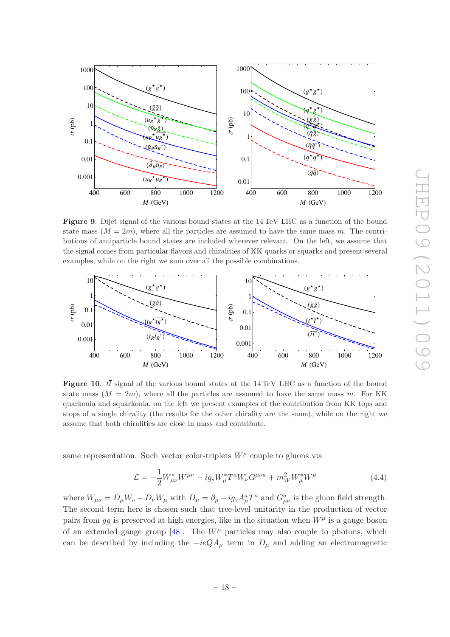

<span id="page-18-0"></span>Figure 9. Dijet signal of the various bound states at the 14 TeV LHC as a function of the bound state mass  $(M = 2m)$ , where all the particles are assumed to have the same mass m. The contributions of antiparticle bound states are included wherever relevant. On the left, we assume that the signal comes from particular flavors and chiralities of KK quarks or squarks and present several examples, while on the right we sum over all the possible combinations.



<span id="page-18-1"></span>Figure 10. the signal of the various bound states at the 14 TeV LHC as a function of the bound state mass  $(M = 2m)$ , where all the particles are assumed to have the same mass m. For KK quarkonia and squarkonia, on the left we present examples of the contribution from KK tops and stops of a single chirality (the results for the other chirality are the same), while on the right we assume that both chiralities are close in mass and contribute.

same representation. Such vector color-triplets  $W^{\mu}$  couple to gluons via

$$
\mathcal{L} = -\frac{1}{2} W_{\mu\nu}^* W^{\mu\nu} - ig_s W_{\mu}^* T^a W_{\nu} G^{\mu\nu a} + m_W^2 W_{\mu}^* W^{\mu} \tag{4.4}
$$

where  $W_{\mu\nu} = D_{\mu}W_{\nu} - D_{\nu}W_{\mu}$  with  $D_{\mu} = \partial_{\mu} - ig_s A_{\mu}^a T^a$  and  $G_{\mu\nu}^a$  is the gluon field strength. The second term here is chosen such that tree-level unitarity in the production of vector pairs from gg is preserved at high energies, like in the situation when  $W^{\mu}$  is a gauge boson of an extended gauge group [\[48\]](#page-38-11). The  $W^{\mu}$  particles may also couple to photons, which can be described by including the  $-i\epsilon Q A_\mu$  term in  $D_\mu$  and adding an electromagnetic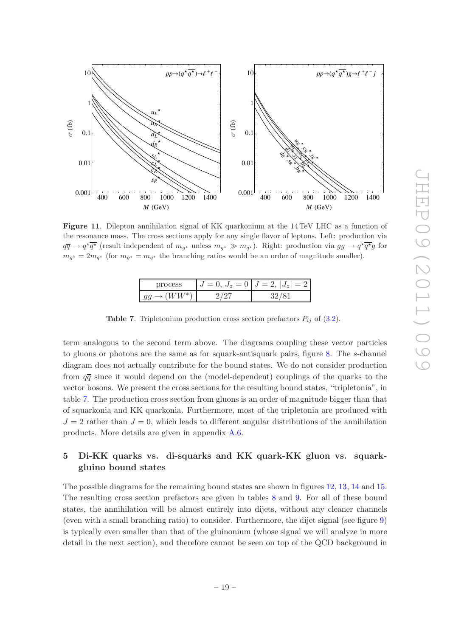

<span id="page-19-1"></span>Figure 11. Dilepton annihilation signal of KK quarkonium at the 14 TeV LHC as a function of the resonance mass. The cross sections apply for any single flavor of leptons. Left: production via  $q\overline{q} \to q^* \overline{q^*}$  (result independent of  $m_{g^*}$  unless  $m_{g^*} \gg m_{g^*}$ ). Right: production via  $gg \to q^* \overline{q^*}g$  for  $m_{g^*} = 2m_{g^*}$  (for  $m_{g^*} = m_{g^*}$  the branching ratios would be an order of magnitude smaller).

| process | $J=0, J_z=0$   $J=2,  J_z =2$ |
|---------|-------------------------------|
|         |                               |

<span id="page-19-2"></span>**Table 7.** Tripletonium production cross section prefactors  $P_{ij}$  of [\(3.2\)](#page-8-3).

term analogous to the second term above. The diagrams coupling these vector particles to gluons or photons are the same as for squark-antisquark pairs, figure [8.](#page-16-1) The s-channel diagram does not actually contribute for the bound states. We do not consider production from  $q\bar{q}$  since it would depend on the (model-dependent) couplings of the quarks to the vector bosons. We present the cross sections for the resulting bound states, "tripletonia", in table [7.](#page-19-2) The production cross section from gluons is an order of magnitude bigger than that of squarkonia and KK quarkonia. Furthermore, most of the tripletonia are produced with  $J = 2$  rather than  $J = 0$ , which leads to different angular distributions of the annihilation products. More details are given in appendix [A.6.](#page-32-1)

# <span id="page-19-0"></span>5 Di-KK quarks vs. di-squarks and KK quark-KK gluon vs. squarkgluino bound states

The possible diagrams for the remaining bound states are shown in figures [12,](#page-20-0) [13,](#page-20-1) [14](#page-21-1) and [15.](#page-21-2) The resulting cross section prefactors are given in tables [8](#page-20-2) and [9.](#page-21-3) For all of these bound states, the annihilation will be almost entirely into dijets, without any cleaner channels (even with a small branching ratio) to consider. Furthermore, the dijet signal (see figure [9\)](#page-18-0) is typically even smaller than that of the gluinonium (whose signal we will analyze in more detail in the next section), and therefore cannot be seen on top of the QCD background in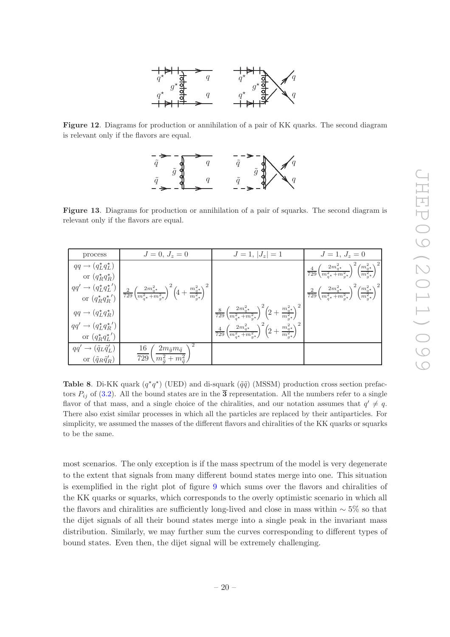

<span id="page-20-0"></span>Figure 12. Diagrams for production or annihilation of a pair of KK quarks. The second diagram is relevant only if the flavors are equal.



<span id="page-20-1"></span>Figure 13. Diagrams for production or annihilation of a pair of squarks. The second diagram is relevant only if the flavors are equal.

| process                                                                                  | $J=0, J_z=0$                                                                                                                                                   | $J=1,  J_z =1$                                                                                                                                  | $J=1, J_z=0$                                                                                                                                                   |
|------------------------------------------------------------------------------------------|----------------------------------------------------------------------------------------------------------------------------------------------------------------|-------------------------------------------------------------------------------------------------------------------------------------------------|----------------------------------------------------------------------------------------------------------------------------------------------------------------|
| $qq \rightarrow (q_L^{\star} q_L^{\star})$<br>or $(q_R^{\star}q_R^{\star})$              |                                                                                                                                                                |                                                                                                                                                 | $\left  \frac{4}{729}\biggl(\!\frac{2m_{q^\star}^2}{m_{q^\star}^2\!+\!m_{g^\star}^2}\!\biggr)^2\biggl(\!\frac{m_{q^\star}^2}{m_{g^\star}^2}\!\biggr)^2\right $ |
| $qq' \rightarrow (q_L^{\star}q_L^{\star'})$<br>or $(q^{\star}_R {q^{\star}_R}^{\prime})$ | $\bigg  \, \tfrac{2}{729} \Big(\!\frac{2 m_{q^\star}^2}{m_{q^\star}^2 \! + \! m_{g^\star}^2}\!\Big)^2 \Big(\!4 + \frac{m_{q^\star}^2}{m_{g^\star}^2}\!\Big)^2$ |                                                                                                                                                 | $\frac{2}{729} \bigg( \!\frac{2 m_{q^\star}^2}{m_{q^\star}^2 \!+\! m_{g^\star}^2} \!\bigg)^2 \bigg( \!\frac{m_{q^\star}^2}{m_{g^\star}^2} \!\bigg)$            |
| $qq \rightarrow (q_L^{\star} q_R^{\star})$                                               |                                                                                                                                                                | $\frac{8}{729}\Big(\!\frac{2m_{q^\star}^2}{m_{q^\star}^2\!+\!m_{g^\star}^2}\!\Big)^2\!\left(\!2+\frac{m_{q^\star}^2}{m_{g^\star}^2}\!\right)^2$ |                                                                                                                                                                |
| $qq' \rightarrow (q_L^{\star} q_R^{\star})$<br>or $(q_R^{\star}q_L^{\star})$             |                                                                                                                                                                | $\frac{4}{729}\Big(\!\frac{2m_{q\star}^2}{m_{q\star}^2+m_{q\star}^2}\!\Big)^2\!\left(\!2+\frac{m_{q\star}^2}{m_{\star\star}^2}\!\right)^2$      |                                                                                                                                                                |
| $\rightarrow (\tilde{q}_L \tilde{q}'_L)$<br>qq'                                          | $2m_{\tilde{g}}m_{\tilde{q}}$                                                                                                                                  |                                                                                                                                                 |                                                                                                                                                                |
| or $(\tilde{q}_R \tilde{q}'_R)$                                                          | $\overline{729}$<br>$\sqrt{m_{\tilde{a}}^2 + m_{\tilde{a}}^2}$                                                                                                 |                                                                                                                                                 |                                                                                                                                                                |

<span id="page-20-2"></span>Table 8. Di-KK quark  $(q^*q^*)$  (UED) and di-squark  $(\tilde{q}\tilde{q})$  (MSSM) production cross section prefactors  $P_{ij}$  of [\(3.2\)](#page-8-3). All the bound states are in the  $\overline{3}$  representation. All the numbers refer to a single flavor of that mass, and a single choice of the chiralities, and our notation assumes that  $q' \neq q$ . There also exist similar processes in which all the particles are replaced by their antiparticles. For simplicity, we assumed the masses of the different flavors and chiralities of the KK quarks or squarks to be the same.

most scenarios. The only exception is if the mass spectrum of the model is very degenerate to the extent that signals from many different bound states merge into one. This situation is exemplified in the right plot of figure [9](#page-18-0) which sums over the flavors and chiralities of the KK quarks or squarks, which corresponds to the overly optimistic scenario in which all the flavors and chiralities are sufficiently long-lived and close in mass within ∼ 5% so that the dijet signals of all their bound states merge into a single peak in the invariant mass distribution. Similarly, we may further sum the curves corresponding to different types of bound states. Even then, the dijet signal will be extremely challenging.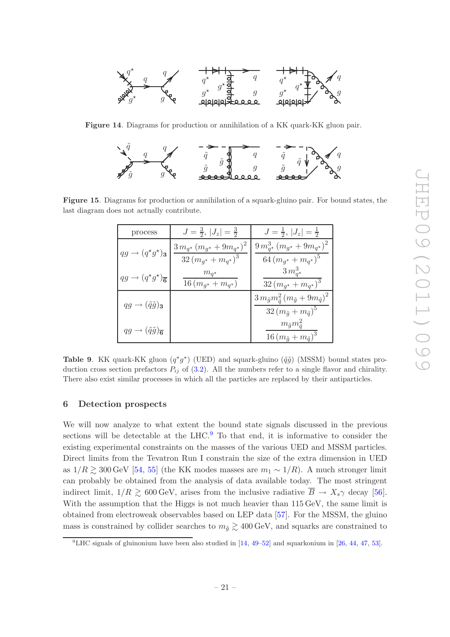

Figure 14. Diagrams for production or annihilation of a KK quark-KK gluon pair.

<span id="page-21-1"></span>

Figure 15. Diagrams for production or annihilation of a squark-gluino pair. For bound states, the last diagram does not actually contribute.

<span id="page-21-2"></span>

| process                                              | $J=\frac{3}{2},  J_z =\frac{3}{2}$                             | $J=\frac{1}{2},  J_z =\frac{1}{2}$                                                                           |
|------------------------------------------------------|----------------------------------------------------------------|--------------------------------------------------------------------------------------------------------------|
| $qg \rightarrow (q^{\star}g^{\star})_3$              | $3 m_{q^*} (m_{q^*} + 9 m_{q^*})^2$<br>$32(m_{q^*}+m_{q^*})^3$ | $9 m_{q^{\star}}^3 (m_{q^{\star}} + 9 m_{q^{\star}})^2$<br>$64(m_{q^*}+m_{q^*})^5$                           |
| $qg \rightarrow (q^{\star}g^{\star})_{\overline{6}}$ | $m_{q^*}$<br>$16(m_{g^*} + m_{g^*})$                           | $3 m_{a\star}^3$<br>$32(m_{q^*}+m_{q^*})^3$                                                                  |
| $qg \rightarrow (\tilde{q}\tilde{g})_3$              |                                                                | $3 m_{\tilde{g}} m_{\tilde{q}}^2 (m_{\tilde{g}} + 9 m_{\tilde{q}})^2$<br>$32(m_{\tilde{q}}+m_{\tilde{q}})^5$ |
| $qg \rightarrow (\tilde{q}\tilde{g})_{\overline{6}}$ |                                                                | $m_{\tilde{g}} m_{\tilde{q}}^2$<br>$16(m_{\tilde{q}}+m_{\tilde{q}})^3$                                       |

<span id="page-21-3"></span>Table 9. KK quark-KK gluon  $(q^*g^*)$  (UED) and squark-gluino  $(\tilde{q}\tilde{g})$  (MSSM) bound states production cross section prefactors  $P_{ij}$  of [\(3.2\)](#page-8-3). All the numbers refer to a single flavor and chirality. There also exist similar processes in which all the particles are replaced by their antiparticles.

# <span id="page-21-0"></span>6 Detection prospects

We will now analyze to what extent the bound state signals discussed in the previous sections will be detectable at the  $LHC<sup>9</sup>$  $LHC<sup>9</sup>$  $LHC<sup>9</sup>$  To that end, it is informative to consider the existing experimental constraints on the masses of the various UED and MSSM particles. Direct limits from the Tevatron Run I constrain the size of the extra dimension in UED as  $1/R \gtrsim 300$  GeV [\[54](#page-38-12), [55](#page-39-0)] (the KK modes masses are  $m_1 \sim 1/R$ ). A much stronger limit can probably be obtained from the analysis of data available today. The most stringent indirect limit,  $1/R \gtrsim 600 \,\text{GeV}$ , arises from the inclusive radiative  $\overline{B} \to X_s \gamma$  decay [\[56\]](#page-39-1). With the assumption that the Higgs is not much heavier than  $115 \,\text{GeV}$ , the same limit is obtained from electroweak observables based on LEP data [\[57](#page-39-2)]. For the MSSM, the gluino mass is constrained by collider searches to  $m_{\tilde{q}} \gtrsim 400 \,\text{GeV}$ , and squarks are constrained to

<span id="page-21-4"></span> $9L$ HC signals of gluinonium have been also studied in [\[14](#page-36-2), [49](#page-38-13)[–52\]](#page-38-14) and squarkonium in [\[26](#page-37-11), [44](#page-38-8), [47](#page-38-10), [53](#page-38-15)].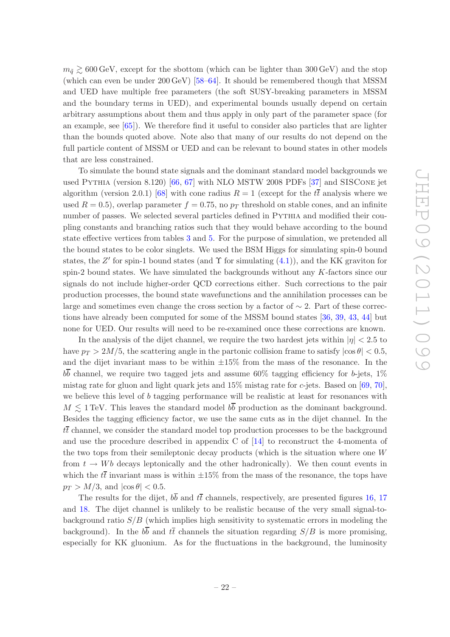$m_{\tilde{q}} \gtrsim 600 \,\text{GeV}$ , except for the sbottom (which can be lighter than 300 GeV) and the stop (which can even be under 200 GeV) [\[58](#page-39-3)[–64](#page-39-4)]. It should be remembered though that MSSM and UED have multiple free parameters (the soft SUSY-breaking parameters in MSSM and the boundary terms in UED), and experimental bounds usually depend on certain arbitrary assumptions about them and thus apply in only part of the parameter space (for an example, see [\[65](#page-39-5)]). We therefore find it useful to consider also particles that are lighter than the bounds quoted above. Note also that many of our results do not depend on the full particle content of MSSM or UED and can be relevant to bound states in other models that are less constrained.

To simulate the bound state signals and the dominant standard model backgrounds we used Pythia (version 8.120) [\[66](#page-39-6), [67](#page-39-7)] with NLO MSTW 2008 PDFs [\[37](#page-38-1)] and SISCone jet algorithm (version 2.0.1) [\[68\]](#page-39-8) with cone radius  $R = 1$  (except for the  $t\bar{t}$  analysis where we used  $R = 0.5$ , overlap parameter  $f = 0.75$ , no  $p<sub>T</sub>$  threshold on stable cones, and an infinite number of passes. We selected several particles defined in Pythia and modified their coupling constants and branching ratios such that they would behave according to the bound state effective vertices from tables [3](#page-8-0) and [5.](#page-15-0) For the purpose of simulation, we pretended all the bound states to be color singlets. We used the BSM Higgs for simulating spin-0 bound states, the Z' for spin-1 bound states (and  $\Upsilon$  for simulating  $(4.1)$ ), and the KK graviton for spin-2 bound states. We have simulated the backgrounds without any  $K$ -factors since our signals do not include higher-order QCD corrections either. Such corrections to the pair production processes, the bound state wavefunctions and the annihilation processes can be large and sometimes even change the cross section by a factor of ∼ 2. Part of these corrections have already been computed for some of the MSSM bound states [\[36,](#page-38-0) [39](#page-38-3), [43,](#page-38-7) [44](#page-38-8)] but none for UED. Our results will need to be re-examined once these corrections are known.

In the analysis of the dijet channel, we require the two hardest jets within  $|\eta| < 2.5$  to have  $p_T > 2M/5$ , the scattering angle in the partonic collision frame to satisfy  $|\cos \theta| < 0.5$ , and the dijet invariant mass to be within  $\pm 15\%$  from the mass of the resonance. In the  $b\bar{b}$  channel, we require two tagged jets and assume 60% tagging efficiency for b-jets, 1% mistag rate for gluon and light quark jets and  $15\%$  mistag rate for c-jets. Based on [\[69,](#page-39-9) [70\]](#page-39-10), we believe this level of b tagging performance will be realistic at least for resonances with  $M \lesssim 1$  TeV. This leaves the standard model  $b\overline{b}$  production as the dominant background. Besides the tagging efficiency factor, we use the same cuts as in the dijet channel. In the  $t\bar{t}$  channel, we consider the standard model top production processes to be the background and use the procedure described in appendix C of [\[14](#page-36-2)] to reconstruct the 4-momenta of the two tops from their semileptonic decay products (which is the situation where one W from  $t \to Wb$  decays leptonically and the other hadronically). We then count events in which the  $t\bar{t}$  invariant mass is within  $\pm 15\%$  from the mass of the resonance, the tops have  $p_T > M/3$ , and  $|\cos \theta| < 0.5$ .

The results for the dijet,  $b\bar{b}$  and  $t\bar{t}$  channels, respectively, are presented figures [16,](#page-23-0) [17](#page-23-1) and [18.](#page-24-0) The dijet channel is unlikely to be realistic because of the very small signal-tobackground ratio  $S/B$  (which implies high sensitivity to systematic errors in modeling the background). In the  $b\overline{b}$  and  $t\overline{t}$  channels the situation regarding  $S/B$  is more promising, especially for KK gluonium. As for the fluctuations in the background, the luminosity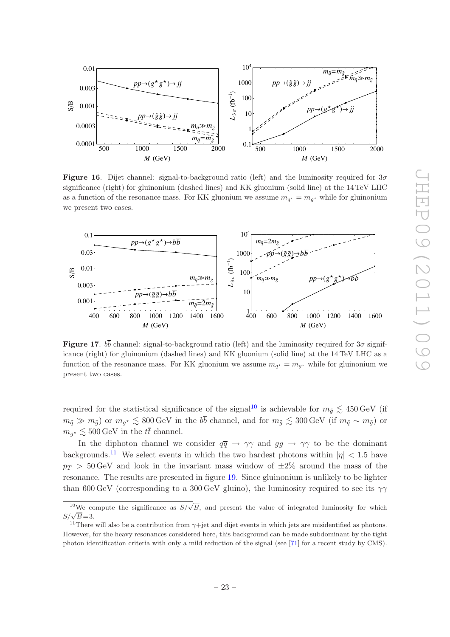

<span id="page-23-0"></span>**Figure 16.** Dijet channel: signal-to-background ratio (left) and the luminosity required for  $3\sigma$ significance (right) for gluinonium (dashed lines) and KK gluonium (solid line) at the 14 TeV LHC as a function of the resonance mass. For KK gluonium we assume  $m_{q^*} = m_{g^*}$  while for gluinonium we present two cases.



<span id="page-23-1"></span>**Figure 17.**  $b\overline{b}$  channel: signal-to-background ratio (left) and the luminosity required for  $3\sigma$  significance (right) for gluinonium (dashed lines) and KK gluonium (solid line) at the 14 TeV LHC as a function of the resonance mass. For KK gluonium we assume  $m_{q^*} = m_{g^*}$  while for gluinonium we present two cases.

required for the statistical significance of the signal<sup>[10](#page-23-2)</sup> is achievable for  $m_{\tilde{q}} \lesssim 450 \,\text{GeV}$  (if  $m_{\tilde{q}} \gg m_{\tilde{g}}$  or  $m_{g^*} \lesssim 800 \,\text{GeV}$  in the bb channel, and for  $m_{\tilde{g}} \lesssim 300 \,\text{GeV}$  (if  $m_{\tilde{q}} \sim m_{\tilde{g}}$ ) or  $m_{g^*} \lesssim 500 \,\text{GeV}$  in the  $t\bar{t}$  channel.

In the diphoton channel we consider  $q\bar{q} \rightarrow \gamma\gamma$  and  $gg \rightarrow \gamma\gamma$  to be the dominant backgrounds.<sup>[11](#page-23-3)</sup> We select events in which the two hardest photons within  $|\eta|$  < 1.5 have  $p_T > 50$  GeV and look in the invariant mass window of  $\pm 2\%$  around the mass of the resonance. The results are presented in figure [19.](#page-24-1) Since gluinonium is unlikely to be lighter than 600 GeV (corresponding to a 300 GeV gluino), the luminosity required to see its  $\gamma\gamma$ 

<span id="page-23-2"></span><sup>&</sup>lt;sup>10</sup>We compute the significance as  $S/\sqrt{B}$ , and present the value of integrated luminosity for which  $S/\sqrt{B}=3$ .

<span id="page-23-3"></span><sup>&</sup>lt;sup>11</sup>There will also be a contribution from  $\gamma$ +jet and dijet events in which jets are misidentified as photons. However, for the heavy resonances considered here, this background can be made subdominant by the tight photon identification criteria with only a mild reduction of the signal (see [\[71](#page-39-11)] for a recent study by CMS).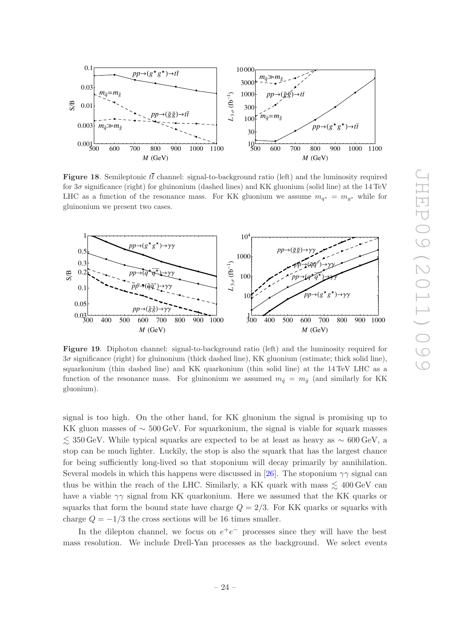

<span id="page-24-0"></span>**Figure 18.** Semileptonic  $t\bar{t}$  channel: signal-to-background ratio (left) and the luminosity required for  $3\sigma$  significance (right) for gluinonium (dashed lines) and KK gluonium (solid line) at the 14 TeV LHC as a function of the resonance mass. For KK gluonium we assume  $m_{q^*} = m_{g^*}$  while for gluinonium we present two cases.



<span id="page-24-1"></span>Figure 19. Diphoton channel: signal-to-background ratio (left) and the luminosity required for 3σ significance (right) for gluinonium (thick dashed line), KK gluonium (estimate; thick solid line), squarkonium (thin dashed line) and KK quarkonium (thin solid line) at the 14 TeV LHC as a function of the resonance mass. For gluinonium we assumed  $m_{\tilde{q}} = m_{\tilde{g}}$  (and similarly for KK gluonium).

signal is too high. On the other hand, for KK gluonium the signal is promising up to KK gluon masses of  $\sim 500 \,\text{GeV}$ . For squarkonium, the signal is viable for squark masses  $\lesssim$  350 GeV. While typical squarks are expected to be at least as heavy as ∼ 600 GeV, a stop can be much lighter. Luckily, the stop is also the squark that has the largest chance for being sufficiently long-lived so that stoponium will decay primarily by annihilation. Several models in which this happens were discussed in [\[26](#page-37-11)]. The stoponium  $\gamma\gamma$  signal can thus be within the reach of the LHC. Similarly, a KK quark with mass  $\leq 400 \,\text{GeV}$  can have a viable  $\gamma\gamma$  signal from KK quarkonium. Here we assumed that the KK quarks or squarks that form the bound state have charge  $Q = 2/3$ . For KK quarks or squarks with charge  $Q = -1/3$  the cross sections will be 16 times smaller.

In the dilepton channel, we focus on  $e^+e^-$  processes since they will have the best mass resolution. We include Drell-Yan processes as the background. We select events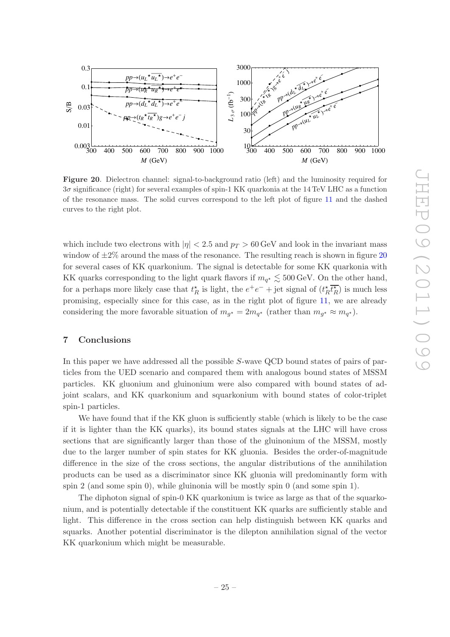

<span id="page-25-1"></span>Figure 20. Dielectron channel: signal-to-background ratio (left) and the luminosity required for 3σ significance (right) for several examples of spin-1 KK quarkonia at the 14 TeV LHC as a function of the resonance mass. The solid curves correspond to the left plot of figure [11](#page-19-1) and the dashed curves to the right plot.

which include two electrons with  $|\eta| < 2.5$  and  $p_T > 60$  GeV and look in the invariant mass window of  $\pm 2\%$  around the mass of the resonance. The resulting reach is shown in figure [20](#page-25-1) for several cases of KK quarkonium. The signal is detectable for some KK quarkonia with KK quarks corresponding to the light quark flavors if  $m_{q^*} \lesssim 500 \,\text{GeV}$ . On the other hand, for a perhaps more likely case that  $t_R^*$  is light, the  $e^+e^-$  + jet signal of  $(t_R^*\overline{t_R^*})$  is much less promising, especially since for this case, as in the right plot of figure [11,](#page-19-1) we are already considering the more favorable situation of  $m_{g^*} = 2m_{q^*}$  (rather than  $m_{g^*} \approx m_{q^*}$ ).

# <span id="page-25-0"></span>7 Conclusions

In this paper we have addressed all the possible S-wave QCD bound states of pairs of particles from the UED scenario and compared them with analogous bound states of MSSM particles. KK gluonium and gluinonium were also compared with bound states of adjoint scalars, and KK quarkonium and squarkonium with bound states of color-triplet spin-1 particles.

We have found that if the KK gluon is sufficiently stable (which is likely to be the case if it is lighter than the KK quarks), its bound states signals at the LHC will have cross sections that are significantly larger than those of the gluinonium of the MSSM, mostly due to the larger number of spin states for KK gluonia. Besides the order-of-magnitude difference in the size of the cross sections, the angular distributions of the annihilation products can be used as a discriminator since KK gluonia will predominantly form with spin 2 (and some spin 0), while gluinonia will be mostly spin 0 (and some spin 1).

The diphoton signal of spin-0 KK quarkonium is twice as large as that of the squarkonium, and is potentially detectable if the constituent KK quarks are sufficiently stable and light. This difference in the cross section can help distinguish between KK quarks and squarks. Another potential discriminator is the dilepton annihilation signal of the vector KK quarkonium which might be measurable.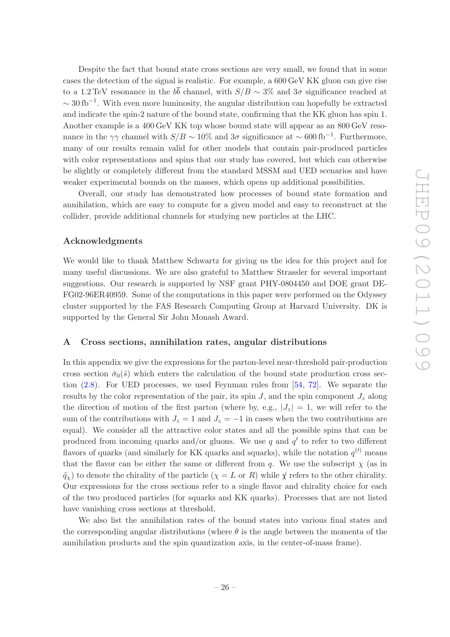Despite the fact that bound state cross sections are very small, we found that in some cases the detection of the signal is realistic. For example, a 600 GeV KK gluon can give rise to a 1.2 TeV resonance in the  $b\bar{b}$  channel, with  $S/B \sim 3\%$  and  $3\sigma$  significance reached at  $\sim 30 \,\mathrm{fb}^{-1}$ . With even more luminosity, the angular distribution can hopefully be extracted and indicate the spin-2 nature of the bound state, confirming that the KK gluon has spin 1. Another example is a 400 GeV KK top whose bound state will appear as an 800 GeV resonance in the  $\gamma\gamma$  channel with  $S/B \sim 10\%$  and  $3\sigma$  significance at  $\sim 600 \text{ fb}^{-1}$ . Furthermore, many of our results remain valid for other models that contain pair-produced particles with color representations and spins that our study has covered, but which can otherwise be slightly or completely different from the standard MSSM and UED scenarios and have weaker experimental bounds on the masses, which opens up additional possibilities.

Overall, our study has demonstrated how processes of bound state formation and annihilation, which are easy to compute for a given model and easy to reconstruct at the collider, provide additional channels for studying new particles at the LHC.

#### Acknowledgments

We would like to thank Matthew Schwartz for giving us the idea for this project and for many useful discussions. We are also grateful to Matthew Strassler for several important suggestions. Our research is supported by NSF grant PHY-0804450 and DOE grant DE-FG02-96ER40959. Some of the computations in this paper were performed on the Odyssey cluster supported by the FAS Research Computing Group at Harvard University. DK is supported by the General Sir John Monash Award.

#### <span id="page-26-0"></span>A Cross sections, annihilation rates, angular distributions

In this appendix we give the expressions for the parton-level near-threshold pair-production cross section  $\hat{\sigma}_0(\hat{s})$  which enters the calculation of the bound state production cross section [\(2.8\)](#page-7-3). For UED processes, we used Feynman rules from [\[54,](#page-38-12) [72\]](#page-39-12). We separate the results by the color representation of the pair, its spin J, and the spin component  $J_z$  along the direction of motion of the first parton (where by, e.g.,  $|J_z| = 1$ , we will refer to the sum of the contributions with  $J_z = 1$  and  $J_z = -1$  in cases when the two contributions are equal). We consider all the attractive color states and all the possible spins that can be produced from incoming quarks and/or gluons. We use q and  $q'$  to refer to two different flavors of quarks (and similarly for KK quarks and squarks), while the notation  $q^{(l)}$  means that the flavor can be either the same or different from q. We use the subscript  $\chi$  (as in  $\tilde{q}_\chi$ ) to denote the chirality of the particle  $(\chi = L \text{ or } R)$  while  $\chi$  refers to the other chirality. Our expressions for the cross sections refer to a single flavor and chirality choice for each of the two produced particles (for squarks and KK quarks). Processes that are not listed have vanishing cross sections at threshold.

We also list the annihilation rates of the bound states into various final states and the corresponding angular distributions (where  $\theta$  is the angle between the momenta of the annihilation products and the spin quantization axis, in the center-of-mass frame).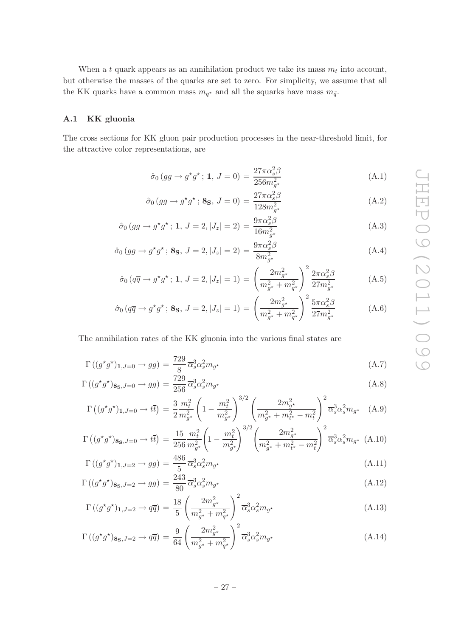When a t quark appears as an annihilation product we take its mass  $m_t$  into account, but otherwise the masses of the quarks are set to zero. For simplicity, we assume that all the KK quarks have a common mass  $m_{q^*}$  and all the squarks have mass  $m_{\tilde{q}}$ .

# <span id="page-27-0"></span>A.1 KK gluonia

The cross sections for KK gluon pair production processes in the near-threshold limit, for the attractive color representations, are

$$
\hat{\sigma}_0 (gg \to g^{\star} g^{\star}; \mathbf{1}, J = 0) = \frac{27 \pi \alpha_s^2 \beta}{256 m_{g^{\star}}^2}
$$
\n(A.1)

$$
\hat{\sigma}_0(gg \to g^{\star}g^{\star}; \mathbf{8}_S, J = 0) = \frac{27\pi\alpha_s^2\beta}{128m_{g^{\star}}^2}
$$
\n(A.2)

$$
\hat{\sigma}_0 (gg \to g^* g^*; \mathbf{1}, J = 2, |J_z| = 2) = \frac{9\pi \alpha_s^2 \beta}{16m_{g^*}^2}
$$
\n(A.3)

$$
\hat{\sigma}_0(gg \to g^{\star}g^{\star}; \mathbf{8}_S, J = 2, |J_z| = 2) = \frac{9\pi\alpha_s^2\beta}{8m_{g^{\star}}^2}
$$
\n(A.4)

$$
\hat{\sigma}_0 (q\overline{q} \to g^{\star} g^{\star}; \mathbf{1}, J = 2, |J_z| = 1) = \left(\frac{2m_{g^{\star}}^2}{m_{g^{\star}}^2 + m_{q^{\star}}^2}\right)^2 \frac{2\pi \alpha_s^2 \beta}{27m_{g^{\star}}^2} \tag{A.5}
$$

$$
\hat{\sigma}_0 (q\overline{q} \to g^{\star} g^{\star}; \mathbf{8}_S, J = 2, |J_z| = 1) = \left(\frac{2m_{g^{\star}}^2}{m_{g^{\star}}^2 + m_{q^{\star}}^2}\right)^2 \frac{5\pi \alpha_s^2 \beta}{27m_{g^{\star}}^2}
$$
(A.6)

The annihilation rates of the KK gluonia into the various final states are

$$
\Gamma\left((g^{\star}g^{\star})_{1,J=0}\to gg\right)=\frac{729}{8}\overline{\alpha}_s^3\alpha_s^2m_{g^{\star}}\tag{A.7}
$$

$$
\Gamma\left((g^{\star}g^{\star})_{\mathbf{8}_{\mathbf{S}},J=0} \to gg\right) = \frac{729}{256} \overline{\alpha}_s^3 \alpha_s^2 m_{g^{\star}} \tag{A.8}
$$

$$
\Gamma\left((g^{\star}g^{\star})_{1,J=0}\to t\overline{t}\right) = \frac{3}{2}\frac{m_t^2}{m_{g^{\star}}^2} \left(1 - \frac{m_t^2}{m_{g^{\star}}^2}\right)^{3/2} \left(\frac{2m_{g^{\star}}^2}{m_{g^{\star}}^2 + m_{t^{\star}}^2 - m_t^2}\right)^2 \overline{\alpha}_s^3 \alpha_s^2 m_{g^{\star}} \quad \text{(A.9)}
$$

$$
\Gamma\left((g^{\star}g^{\star})_{\mathbf{8}_{\mathbf{S}},J=0} \to t\overline{t}\right) = \frac{15}{256} \frac{m_t^2}{m_{g^{\star}}^2} \left(1 - \frac{m_t^2}{m_{g^{\star}}^2}\right)^{3/2} \left(\frac{2m_{g^{\star}}^2}{m_{g^{\star}}^2 + m_{t^{\star}}^2 - m_t^2}\right)^2 \overline{\alpha}_s^3 \alpha_s^2 m_{g^{\star}} \tag{A.10}
$$

$$
\Gamma\left((g^{\star}g^{\star})_{1,J=2} \to gg\right) = \frac{486}{5} \overline{\alpha}_s^3 \alpha_s^2 m_{g^{\star}} \tag{A.11}
$$

$$
\Gamma\left((g^{\star}g^{\star})_{\mathbf{8}_{\mathbf{S}},J=2} \to gg\right) = \frac{243}{80} \overline{\alpha}_s^3 \alpha_s^2 m_{g^{\star}} \tag{A.12}
$$

$$
\Gamma\left((g^{\star}g^{\star})_{1,J=2} \to q\overline{q}\right) = \frac{18}{5} \left(\frac{2m_{g^{\star}}^2}{m_{g^{\star}}^2 + m_{q^{\star}}^2}\right)^2 \overline{\alpha}_s^3 \alpha_s^2 m_{g^{\star}} \tag{A.13}
$$

$$
\Gamma\left((g^{\star}g^{\star})_{\mathbf{8}_{\mathbf{S}},J=2} \to q\overline{q}\right) = \frac{9}{64} \left(\frac{2m_{g^{\star}}^2}{m_{g^{\star}}^2 + m_{q^{\star}}^2}\right)^2 \overline{\alpha}_s^3 \alpha_s^2 m_{g^{\star}} \tag{A.14}
$$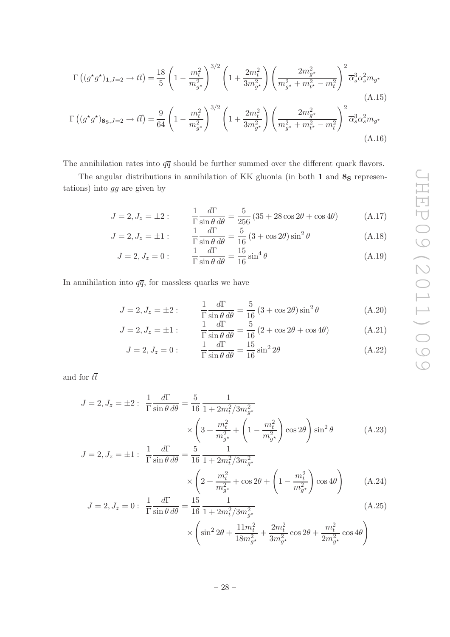$$
\Gamma\left((g^{\star}g^{\star})_{1,J=2} \to t\overline{t}\right) = \frac{18}{5} \left(1 - \frac{m_t^2}{m_{g^{\star}}^2}\right)^{3/2} \left(1 + \frac{2m_t^2}{3m_{g^{\star}}^2}\right) \left(\frac{2m_{g^{\star}}^2}{m_{g^{\star}}^2 + m_{t^{\star}}^2 - m_t^2}\right)^2 \overline{\alpha}_s^3 \alpha_s^2 m_{g^{\star}} \tag{A.15}
$$

$$
\Gamma\left((g^*g^*)_{\mathbf{8}_\mathbf{S},J=2} \to t\overline{t}\right) = \frac{9}{64} \left(1 - \frac{m_t^2}{m_{g^*}^2}\right)^{3/2} \left(1 + \frac{2m_t^2}{3m_{g^*}^2}\right) \left(\frac{2m_{g^*}^2}{m_{g^*}^2 + m_{t^*}^2 - m_t^2}\right)^2 \overline{\alpha}_s^3 \alpha_s^2 m_{g^*} \tag{A.16}
$$

The annihilation rates into  $q\bar{q}$  should be further summed over the different quark flavors.

The angular distributions in annihilation of KK gluonia (in both  $1$  and  $8<sub>S</sub>$  representations) into gg are given by

$$
J = 2, J_z = \pm 2: \qquad \frac{1}{\Gamma} \frac{d\Gamma}{\sin \theta \, d\theta} = \frac{5}{256} \left( 35 + 28 \cos 2\theta + \cos 4\theta \right) \tag{A.17}
$$

$$
J = 2, J_z = \pm 1: \qquad \frac{1}{\Gamma} \frac{d\Gamma}{\sin \theta \, d\theta} = \frac{5}{16} \left( 3 + \cos 2\theta \right) \sin^2 \theta \tag{A.18}
$$

$$
J = 2, J_z = 0: \qquad \frac{1}{\Gamma} \frac{d\Gamma}{\sin \theta \, d\theta} = \frac{15}{16} \sin^4 \theta \tag{A.19}
$$

In annihilation into  $q\overline{q},$  for massless quarks we have

$$
J = 2, J_z = \pm 2: \qquad \frac{1}{\Gamma} \frac{d\Gamma}{\sin \theta \, d\theta} = \frac{5}{16} \left( 3 + \cos 2\theta \right) \sin^2 \theta \tag{A.20}
$$

$$
J = 2, J_z = \pm 1: \qquad \frac{1}{\Gamma} \frac{d\Gamma}{\sin \theta \, d\theta} = \frac{5}{16} \left( 2 + \cos 2\theta + \cos 4\theta \right) \tag{A.21}
$$

$$
J = 2, J_z = 0: \qquad \frac{1}{\Gamma} \frac{d\Gamma}{\sin \theta \, d\theta} = \frac{15}{16} \sin^2 2\theta \tag{A.22}
$$

and for  $t\overline{t}$ 

$$
J = 2, J_z = \pm 2: \frac{1}{\Gamma} \frac{d\Gamma}{\sin \theta \, d\theta} = \frac{5}{16} \frac{1}{1 + 2m_t^2 / 3m_{g^*}^2}
$$

$$
\times \left(3 + \frac{m_t^2}{m_{g^*}^2} + \left(1 - \frac{m_t^2}{m_{g^*}^2}\right) \cos 2\theta\right) \sin^2 \theta \tag{A.23}
$$

$$
J = 2, J = \pm 1: \frac{1}{\pi} \frac{d\Gamma}{d\Gamma} = \frac{5}{\pi} \frac{1}{\pi^2}
$$

$$
J = 2, J_z = \pm 1: \frac{1}{\Gamma} \frac{d\Gamma}{\sin \theta \, d\theta} = \frac{5}{16} \frac{1}{1 + 2m_t^2 / 3m_{g^*}^2}
$$

$$
\times \left(2 + \frac{m_t^2}{m_{g^*}^2} + \cos 2\theta + \left(1 - \frac{m_t^2}{m_{g^*}^2}\right) \cos 4\theta\right) \tag{A.24}
$$

$$
J = 2, J_z = 0: \frac{1}{\Gamma} \frac{d\Gamma}{\sin \theta \, d\theta} = \frac{15}{16} \frac{1}{1 + 2m_t^2 / 3m_{g^*}^2}
$$
(A.25)

$$
\times \left( \sin^2 2\theta + \frac{11m_t^2}{18m_{g*}^2} + \frac{2m_t^2}{3m_{g*}^2} \cos 2\theta + \frac{m_t^2}{2m_{g*}^2} \cos 4\theta \right)
$$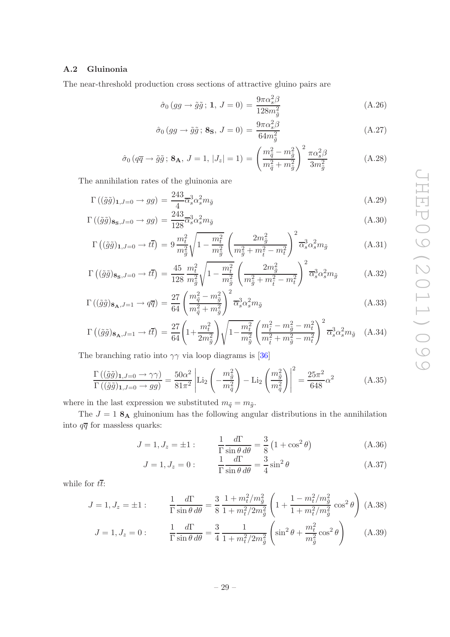# <span id="page-29-0"></span>A.2 Gluinonia

The near-threshold production cross sections of attractive gluino pairs are

$$
\hat{\sigma}_0 \left( gg \to \tilde{g}\tilde{g} \,;\, \mathbf{1}, \, J = 0 \right) = \frac{9\pi \alpha_s^2 \beta}{128 m_{\tilde{g}}^2} \tag{A.26}
$$

$$
\hat{\sigma}_0 (gg \to \tilde{g}\tilde{g}; \mathbf{8}_\mathbf{S}, J = 0) = \frac{9\pi \alpha_s^2 \beta}{64 m_{\tilde{g}}^2}
$$
\n(A.27)

$$
\hat{\sigma}_0 (q\overline{q} \rightarrow \tilde{g}\tilde{g}; \mathbf{8_A}, J = 1, |J_z| = 1) = \left(\frac{m_{\tilde{q}}^2 - m_{\tilde{g}}^2}{m_{\tilde{q}}^2 + m_{\tilde{g}}^2}\right)^2 \frac{\pi \alpha_s^2 \beta}{3m_{\tilde{g}}^2}
$$
(A.28)

The annihilation rates of the gluinonia are

$$
\Gamma\left((\tilde{g}\tilde{g})_{1,J=0} \to gg\right) = \frac{243}{4} \overline{\alpha}_s^3 \alpha_s^2 m_{\tilde{g}} \tag{A.29}
$$

$$
\Gamma\left((\tilde{g}\tilde{g})_{\mathbf{8}_{\mathbf{S}},J=0} \to gg\right) = \frac{243}{128} \overline{\alpha}_s^3 \alpha_s^2 m_{\tilde{g}} \tag{A.30}
$$

$$
\Gamma\left((\tilde{g}\tilde{g})_{1,J=0} \to t\overline{t}\right) = 9 \frac{m_t^2}{m_{\tilde{g}}^2} \sqrt{1 - \frac{m_t^2}{m_{\tilde{g}}^2}} \left(\frac{2m_{\tilde{g}}^2}{m_{\tilde{g}}^2 + m_{\tilde{t}}^2 - m_t^2}\right)^2 \overline{\alpha_s^3 \alpha_s^2 m_{\tilde{g}}}
$$
(A.31)

$$
\Gamma\left((\tilde{g}\tilde{g})_{\mathbf{8}_{\mathbf{S}},J=0} \to t\overline{t}\right) = \frac{45}{128} \frac{m_t^2}{m_{\tilde{g}}^2} \sqrt{1 - \frac{m_t^2}{m_{\tilde{g}}^2}} \left(\frac{2m_{\tilde{g}}^2}{m_{\tilde{g}}^2 + m_{\tilde{t}}^2 - m_t^2}\right)^2 \overline{\alpha}_s^3 \alpha_s^2 m_{\tilde{g}} \tag{A.32}
$$

$$
\Gamma\left((\tilde{g}\tilde{g})_{\mathbf{8}_{\mathbf{A}},J=1} \to q\overline{q}\right) = \frac{27}{64} \left(\frac{m_{\tilde{q}}^2 - m_{\tilde{g}}^2}{m_{\tilde{q}}^2 + m_{\tilde{g}}^2}\right)^2 \overline{\alpha}_s^3 \alpha_s^2 m_{\tilde{g}}
$$
\n(A.33)

$$
\Gamma\left((\tilde{g}\tilde{g})_{\mathbf{8_A},J=1} \to t\overline{t}\right) = \frac{27}{64} \left(1 + \frac{m_t^2}{2m_{\tilde{g}}^2}\right) \sqrt{1 - \frac{m_t^2}{m_{\tilde{g}}^2}} \left(\frac{m_{\tilde{t}}^2 - m_{\tilde{g}}^2 - m_t^2}{m_{\tilde{t}}^2 + m_{\tilde{g}}^2 - m_t^2}\right)^2 \overline{\alpha}_s^3 \alpha_s^2 m_{\tilde{g}} \quad (A.34)
$$

The branching ratio into  $\gamma\gamma$  via loop diagrams is [\[36](#page-38-0)]

<span id="page-29-1"></span>
$$
\frac{\Gamma\left((\tilde{g}\tilde{g})_{1,J=0}\to\gamma\gamma\right)}{\Gamma\left((\tilde{g}\tilde{g})_{1,J=0}\to gg\right)} = \frac{50\alpha^2}{81\pi^2} \left| \text{Li}_2\left(-\frac{m_{\tilde{g}}^2}{m_{\tilde{q}}^2}\right) - \text{Li}_2\left(\frac{m_{\tilde{g}}^2}{m_{\tilde{q}}^2}\right) \right|^2 = \frac{25\pi^2}{648}\alpha^2 \tag{A.35}
$$

where in the last expression we substituted  $m_{\tilde{q}} = m_{\tilde{g}}$ .

The  $J = 18$ A gluinonium has the following angular distributions in the annihilation into  $q\overline{q}$  for massless quarks:

$$
J = 1, J_z = \pm 1: \qquad \frac{1}{\Gamma} \frac{d\Gamma}{\sin \theta \, d\theta} = \frac{3}{8} \left( 1 + \cos^2 \theta \right) \tag{A.36}
$$

$$
J = 1, J_z = 0: \qquad \frac{1}{\Gamma} \frac{d\Gamma}{\sin \theta \, d\theta} = \frac{3}{4} \sin^2 \theta \tag{A.37}
$$

while for  $t\overline{t}$ :

$$
J = 1, J_z = \pm 1: \qquad \frac{1}{\Gamma} \frac{d\Gamma}{\sin \theta \, d\theta} = \frac{3}{8} \frac{1 + m_t^2 / m_{\tilde{g}}^2}{1 + m_t^2 / 2m_{\tilde{g}}^2} \left( 1 + \frac{1 - m_t^2 / m_{\tilde{g}}^2}{1 + m_t^2 / m_{\tilde{g}}^2} \cos^2 \theta \right) \text{ (A.38)}
$$
\n
$$
J = 1, J_z = 0: \qquad \frac{1}{\Gamma} \frac{d\Gamma}{\sin \theta \, d\theta} = \frac{3}{4} \frac{1}{1 + m_t^2 / 2m_{\tilde{g}}^2} \left( \sin^2 \theta + \frac{m_t^2}{m_{\tilde{g}}^2} \cos^2 \theta \right) \qquad \text{(A.39)}
$$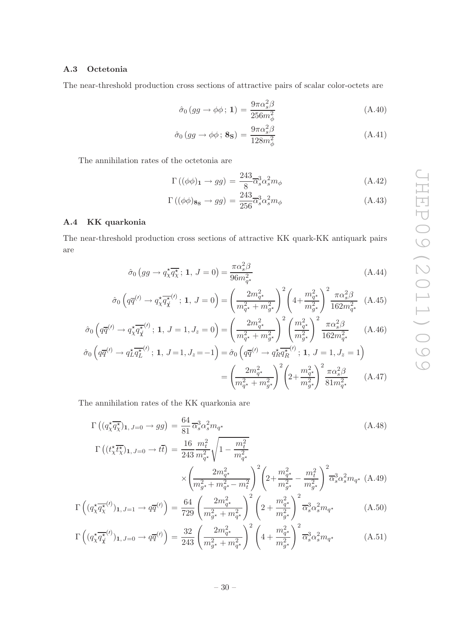# <span id="page-30-0"></span>A.3 Octetonia

The near-threshold production cross sections of attractive pairs of scalar color-octets are

$$
\hat{\sigma}_0(gg \to \phi\phi; \mathbf{1}) = \frac{9\pi\alpha_s^2 \beta}{256m_\phi^2} \tag{A.40}
$$

$$
\hat{\sigma}_0(gg \to \phi \phi; \mathbf{8}_\mathbf{S}) = \frac{9\pi \alpha_s^2 \beta}{128 m_\phi^2} \tag{A.41}
$$

The annihilation rates of the octetonia are

$$
\Gamma\left((\phi\phi)_1 \to gg\right) = \frac{243}{8} \overline{\alpha}_s^3 \alpha_s^2 m_\phi \tag{A.42}
$$

$$
\Gamma\left((\phi\phi)_{\mathbf{8}_\mathbf{S}} \to gg\right) = \frac{243}{256} \overline{\alpha}_s^3 \alpha_s^2 m_\phi \tag{A.43}
$$

# <span id="page-30-1"></span>A.4 KK quarkonia

The near-threshold production cross sections of attractive KK quark-KK antiquark pairs are

$$
\hat{\sigma}_0 \left( gg \to q_{\chi}^{\star} \overline{q_{\chi}^{\star}}; \mathbf{1}, J = 0 \right) = \frac{\pi \alpha_s^2 \beta}{96 m_{q^{\star}}^2} \tag{A.44}
$$

$$
\hat{\sigma}_0 \left( q \overline{q}^{(\prime)} \to q_{\chi}^{\star} \overline{q_{\chi}^{\star}}^{(\prime)}; 1, J = 0 \right) = \left( \frac{2 m_{q^{\star}}^2}{m_{q^{\star}}^2 + m_{g^{\star}}^2} \right)^2 \left( 4 + \frac{m_{q^{\star}}^2}{m_{g^{\star}}^2} \right)^2 \frac{\pi \alpha_s^2 \beta}{162 m_{q^{\star}}^2} \tag{A.45}
$$

$$
\hat{\sigma}_0 \left( q \overline{q}^{(t)} \to q_\chi^* \overline{q_\chi^{(t)}}; \mathbf{1}, J = 1, J_z = 0 \right) = \left( \frac{2m_{q^\star}^2}{m_{q^\star}^2 + m_{g^\star}^2} \right)^2 \left( \frac{m_{q^\star}^2}{m_{q^\star}^2} \right)^2 \frac{\pi \alpha_s^2 \beta}{162 m_{q^\star}^2} \tag{A.46}
$$

$$
\hat{\sigma}_0 \left( q \overline{q}^{(\prime)} \to q_L^* \overline{q_L^{\star}}^{(\prime)}; \mathbf{1}, J = 1, J_z = -1 \right) = \hat{\sigma}_0 \left( q \overline{q}^{(\prime)} \to q_R^* \overline{q_R^{\star}}^{(\prime)}; \mathbf{1}, J = 1, J_z = 1 \right)
$$

$$
= \left( \frac{2m_{q^\star}^2}{m_{q^\star}^2 + m_{g^\star}^2} \right)^2 \left( 2 + \frac{m_{q^\star}^2}{m_{g^\star}^2} \right)^2 \frac{\pi \alpha_s^2 \beta}{81 m_{q^\star}^2} \tag{A.47}
$$

The annihilation rates of the KK quarkonia are

$$
\Gamma\left((q_{\chi}^{*}\overline{q_{\chi}^{*}})_{1, J=0} \to gg\right) = \frac{64}{81} \overline{\alpha}_{s}^{3} \alpha_{s}^{2} m_{q^{*}}
$$
\n
$$
\Gamma\left((t_{\chi}^{*}\overline{t_{\chi}^{*}})_{1, J=0} \to t\overline{t}\right) = \frac{16}{243} \frac{m_{t}^{2}}{m_{q^{*}}^{2}} \sqrt{1 - \frac{m_{t}^{2}}{m_{q^{*}}^{2}}}
$$
\n
$$
\times \left(\frac{2m_{q^{*}}^{2}}{m_{\chi}^{2} + m_{\chi}^{2} - m_{\chi}^{2}}\right)^{2} \left(2 + \frac{m_{q^{*}}^{2}}{m_{\chi}^{2}} - \frac{m_{t}^{2}}{m_{\chi}^{2}}\right)^{2} \overline{\alpha}_{s}^{3} \alpha_{s}^{2} m_{q^{*}} \text{ (A.49)}
$$
\n(A.49)

$$
\left( (q_{\chi}^{\star} \overline{q_{\chi}^{\star}}^{(l)})_{1, J=1} \rightarrow q \overline{q}^{(l)} \right) = \frac{64}{729} \left( \frac{2m_{q^{\star}}^2}{m_{g^{\star}}^2 + m_{q^{\star}}^2} \right)^2 \left( 2 + \frac{m_{q^{\star}}^2}{m_{g^{\star}}^2} \right)^2 \overline{\alpha}_s^3 \alpha_s^2 m_{q^{\star}} \tag{A.50}
$$

$$
\Gamma\left((q_{\chi}^{\star}\overline{q_{\chi}^{\star}}^{(\prime)})_{1,\,J=0}\to q\overline{q}^{(\prime)}\right) = \frac{32}{243} \left(\frac{2m_{q^{\star}}^2}{m_{g^{\star}}^2 + m_{q^{\star}}^2}\right)^2 \left(4 + \frac{m_{q^{\star}}^2}{m_{g^{\star}}^2}\right)^2 \overline{\alpha}_s^3 \alpha_s^2 m_{q^{\star}} \tag{A.51}
$$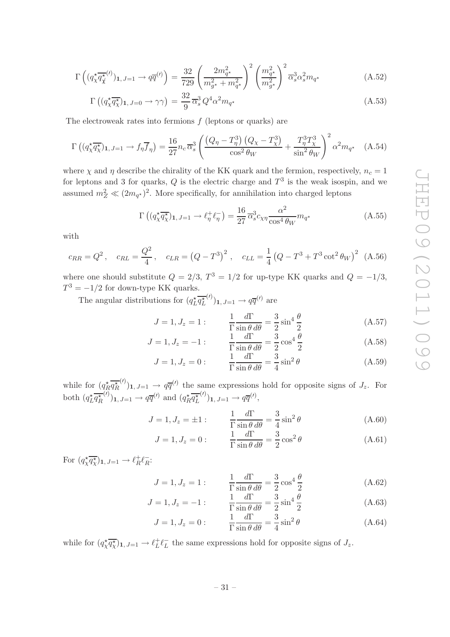$$
\Gamma\left((q_{\chi}^{\star}\overline{q_{\chi}^{\star}}^{(\prime)})_{1,J=1} \to q\overline{q}^{(\prime)}\right) = \frac{32}{729} \left(\frac{2m_{q^{\star}}^2}{m_{g^{\star}}^2 + m_{q^{\star}}^2}\right)^2 \left(\frac{m_{q^{\star}}^2}{m_{g^{\star}}^2}\right)^2 \overline{\alpha_s^3 \alpha_s^2 m_{q^{\star}}}
$$
\n(A.52)

$$
\Gamma\left((q_{\chi}^{*}\overline{q_{\chi}^{*}})_{1,\,J=0}\to\gamma\gamma\right)=\frac{32}{9}\,\overline{\alpha}_{s}^{3}\,Q^{4}\alpha^{2}m_{q^{*}}\tag{A.53}
$$

The electroweak rates into fermions  $f$  (leptons or quarks) are

$$
\Gamma\left((q_{\chi}^{\star}\overline{q_{\chi}^{\star}})_{1,\,J=1} \to f_{\eta}\overline{f}_{\eta}\right) = \frac{16}{27}n_{c}\,\overline{\alpha}_{s}^{3}\left(\frac{\left(Q_{\eta} - T_{\eta}^{3}\right)\left(Q_{\chi} - T_{\chi}^{3}\right)}{\cos^{2}\theta_{W}} + \frac{T_{\eta}^{3}T_{\chi}^{3}}{\sin^{2}\theta_{W}}\right)^{2}\alpha^{2}m_{q^{\star}} \quad \text{(A.54)}
$$

where  $\chi$  and  $\eta$  describe the chirality of the KK quark and the fermion, respectively,  $n_c = 1$ for leptons and 3 for quarks,  $Q$  is the electric charge and  $T^3$  is the weak isospin, and we assumed  $m_Z^2 \ll (2m_{q^*})^2$ . More specifically, for annihilation into charged leptons

$$
\Gamma\left((q_{\chi}^{\star}\overline{q_{\chi}^{\star}})_{1,\,J=1}\to\ell_{\eta}^{+}\ell_{\eta}^{-}\right) = \frac{16}{27}\,\overline{\alpha}_{s}^{3}c_{\chi\eta}\frac{\alpha^{2}}{\cos^{4}\theta_{W}}m_{q^{\star}}\tag{A.55}
$$

with

$$
c_{RR} = Q^2
$$
,  $c_{RL} = \frac{Q^2}{4}$ ,  $c_{LR} = (Q - T^3)^2$ ,  $c_{LL} = \frac{1}{4}(Q - T^3 + T^3 \cot^2 \theta_W)^2$  (A.56)

where one should substitute  $Q = 2/3$ ,  $T^3 = 1/2$  for up-type KK quarks and  $Q = -1/3$ ,  $T^3 = -1/2$  for down-type KK quarks.

The angular distributions for  $(q_L^{\star} \overline{q_L^{\star}})$  $^{(l)}$ <sub>1</sub>,  $_{l=1} \rightarrow q\overline{q}^{(l)}$  are

$$
J = 1, J_z = 1: \qquad \frac{1}{\Gamma} \frac{d\Gamma}{\sin \theta \, d\theta} = \frac{3}{2} \sin^4 \frac{\theta}{2}
$$
(A.57)

$$
J = 1, J_z = -1: \qquad \frac{1}{\Gamma} \frac{d\Gamma}{\sin \theta \, d\theta} = \frac{3}{2} \cos^4 \frac{\theta}{2} \tag{A.58}
$$

$$
J = 1, J_z = 0: \qquad \frac{1}{\Gamma} \frac{d\Gamma}{\sin \theta \, d\theta} = \frac{3}{4} \sin^2 \theta \tag{A.59}
$$

while for  $(q_R^{\star} q_R^{\star})$  $^{(1)}$ <sub>1, J=1</sub>  $\rightarrow$   $q\bar{q}^{(1)}$  the same expressions hold for opposite signs of  $J_z$ . For both  $(q_L^{\star} \overline{q_R^{\star}})$  $\overline{q}^{(l)}$ <sub>1</sub>,  $J=1 \rightarrow q\overline{q}^{(l)}$  and  $(q_R^{\star}\overline{q_L^{\star}})$  $^{(1)}$ <sub>1</sub>,  $_{J=1} \rightarrow q\overline{q}^{(1)}$ ,

$$
J = 1, J_z = \pm 1: \qquad \frac{1}{\Gamma} \frac{d\Gamma}{\sin \theta \, d\theta} = \frac{3}{4} \sin^2 \theta \tag{A.60}
$$

$$
J = 1, J_z = 0: \qquad \frac{1}{\Gamma} \frac{d\Gamma}{\sin \theta \, d\theta} = \frac{3}{2} \cos^2 \theta \tag{A.61}
$$

For  $(q_{\chi} \overline{q_{\chi}^{\star}})_{1, J=1} \rightarrow \ell_R^+$  ${}_{R}^{+}\ell_{R}^{-}$  $\frac{1}{R}$ :

$$
J = 1, J_z = 1: \qquad \frac{1}{\Gamma} \frac{d\Gamma}{\sin \theta \, d\theta} = \frac{3}{2} \cos^4 \frac{\theta}{2}
$$
 (A.62)

$$
J = 1, J_z = -1: \qquad \frac{1}{\Gamma} \frac{d\Gamma}{\sin \theta \, d\theta} = \frac{3}{2} \sin^4 \frac{\theta}{2} \tag{A.63}
$$

$$
J = 1, J_z = 0: \qquad \frac{1}{\Gamma} \frac{d\Gamma}{\sin \theta \, d\theta} = \frac{3}{4} \sin^2 \theta \tag{A.64}
$$

while for  $(q_{\chi} \overline{q_{\chi}^*})_{1, J=1} \rightarrow \ell_L^+$  $_L^+ \ell_L^ \overline{L}$  the same expressions hold for opposite signs of  $J_z$ .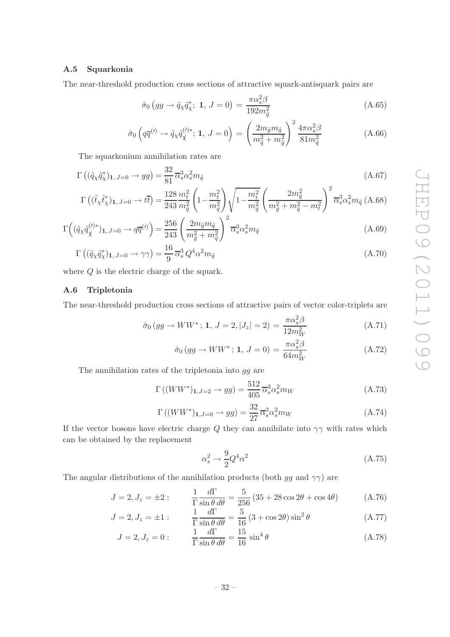# <span id="page-32-0"></span>A.5 Squarkonia

The near-threshold production cross sections of attractive squark-antisquark pairs are

$$
\hat{\sigma}_0 \left( gg \to \tilde{q}_X \tilde{q}_X^*; \ \mathbf{1}, \ J = 0 \right) = \frac{\pi \alpha_s^2 \beta}{192 m_{\tilde{q}}^2} \tag{A.65}
$$

$$
\hat{\sigma}_0 \left( q \overline{q}^{(t)} \to \tilde{q}_\chi \tilde{q}_\chi^{(t)*}; 1, J = 0 \right) = \left( \frac{2 m_{\tilde{g}} m_{\tilde{q}}}{m_{\tilde{q}}^2 + m_{\tilde{g}}^2} \right)^2 \frac{4 \pi \alpha_s^2 \beta}{81 m_{\tilde{q}}^2}
$$
(A.66)

The squarkonium annihilation rates are

$$
\Gamma\left((\tilde{q}_{\chi}\tilde{q}_{\chi}^*)_{1,\,J=0}\to gg\right)=\frac{32}{81}\,\overline{\alpha}_s^3\alpha_s^2m_{\tilde{q}}\tag{A.67}
$$

$$
\Gamma\left((\tilde{t}_{\chi}\tilde{t}_{\chi}^*)_{{\bf 1},J=0}\rightarrow t\overline{t}\right)=\frac{128}{243}\frac{m_t^2}{m_{\tilde{q}}^2}\left(1-\frac{m_t^2}{m_{\tilde{q}}^2}\right)\sqrt{1-\frac{m_t^2}{m_{\tilde{q}}^2}}\left(\frac{2m_{\tilde{q}}^2}{m_{\tilde{g}}^2+m_{\tilde{q}}^2-m_t^2}\right)^2\overline{\alpha}_s^3\alpha_s^2m_{\tilde{q}}\left(\text{A.68}\right)
$$

$$
\Gamma\left((\tilde{q}_{\chi}\tilde{q}_{\chi}^{(\prime)*})_{1,\,J=0}\rightarrow q\overline{q}^{(\prime)}\right) = \frac{256}{243} \left(\frac{2m_{\tilde{g}}m_{\tilde{q}}}{m_{\tilde{g}}^2 + m_{\tilde{q}}^2}\right)^2 \overline{\alpha}_s^3 \alpha_s^2 m_{\tilde{q}}
$$
\n(A.69)

$$
\Gamma\left((\tilde{q}_X\tilde{q}_X^*)_1, J=0 \to \gamma\gamma\right) = \frac{16}{9}\overline{\alpha}_s^3 Q^4 \alpha^2 m_{\tilde{q}}
$$
\n(A.70)

<span id="page-32-1"></span>where Q is the electric charge of the squark.

# A.6 Tripletonia

The near-threshold production cross sections of attractive pairs of vector color-triplets are

$$
\hat{\sigma}_0(gg \to WW^*; \, \mathbf{1}, \, J = 2, |J_z| = 2) = \frac{\pi \alpha_s^2 \beta}{12m_W^2} \tag{A.71}
$$

$$
\hat{\sigma}_0(gg \to WW^*; \mathbf{1}, J = 0) = \frac{\pi \alpha_s^2 \beta}{64m_W^2} \tag{A.72}
$$

The annihilation rates of the tripletonia into gg are

$$
\Gamma((WW^*)_{1,J=2} \to gg) = \frac{512}{405} \overline{\alpha}_s^3 \alpha_s^2 m_W
$$
\n(A.73)

$$
\Gamma\left((WW^*)_{1,J=0}\to gg\right) = \frac{32}{27}\overline{\alpha}_s^3\alpha_s^2m_W\tag{A.74}
$$

If the vector bosons have electric charge Q they can annihilate into  $\gamma\gamma$  with rates which can be obtained by the replacement

$$
\alpha_s^2 \to \frac{9}{2} Q^4 \alpha^2 \tag{A.75}
$$

The angular distributions of the annihilation products (both gg and  $\gamma\gamma$ ) are

$$
J = 2, J_z = \pm 2: \qquad \frac{1}{\Gamma} \frac{d\Gamma}{\sin \theta \, d\theta} = \frac{5}{256} (35 + 28 \cos 2\theta + \cos 4\theta) \tag{A.76}
$$

$$
J = 2, J_z = \pm 1: \qquad \frac{1}{\Gamma} \frac{d\Gamma}{\sin \theta \, d\theta} = \frac{5}{16} \left( 3 + \cos 2\theta \right) \sin^2 \theta \tag{A.77}
$$

$$
J = 2, J_z = 0: \qquad \frac{1}{\Gamma} \frac{d\Gamma}{\sin \theta \, d\theta} = \frac{15}{16} \sin^4 \theta \tag{A.78}
$$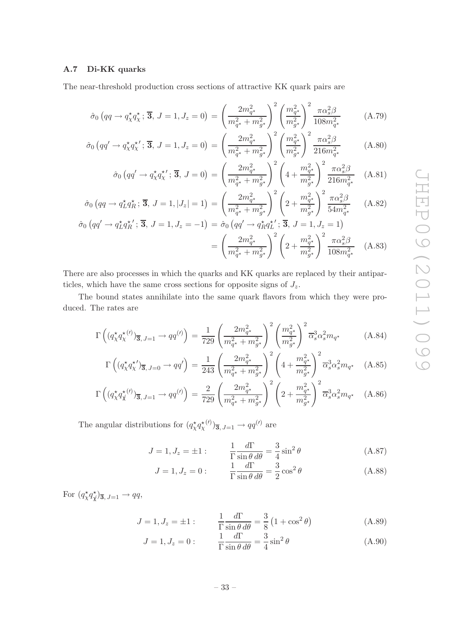# <span id="page-33-0"></span>A.7 Di-KK quarks

The near-threshold production cross sections of attractive KK quark pairs are

$$
\hat{\sigma}_0 \left( qq \to q_{\chi}^{\star} q_{\chi}^{\star}; \overline{\mathbf{3}}, J = 1, J_z = 0 \right) = \left( \frac{2m_{q^{\star}}^2}{m_{q^{\star}}^2 + m_{g^{\star}}^2} \right)^2 \left( \frac{m_{q^{\star}}^2}{m_{g^{\star}}^2} \right)^2 \frac{\pi \alpha_s^2 \beta}{108 m_{q^{\star}}^2} \tag{A.79}
$$

$$
\hat{\sigma}_0 \left( qq' \to q^{\star}_{\chi} q^{\star'}_{\chi}; \overline{\mathbf{3}}, J = 1, J_z = 0 \right) = \left( \frac{2m_{q^{\star}}^2}{m_{q^{\star}}^2 + m_{g^{\star}}^2} \right)^2 \left( \frac{m_{q^{\star}}^2}{m_{g^{\star}}^2} \right)^2 \frac{\pi \alpha_s^2 \beta}{216 m_{q^{\star}}^2} \tag{A.80}
$$

$$
\hat{\sigma}_0 \left( qq' \to q_{\chi}^{\star} q_{\chi}^{\star'}; \overline{\mathbf{3}}, J = 0 \right) = \left( \frac{2m_{q^{\star}}^2}{m_{q^{\star}}^2 + m_{g^{\star}}^2} \right)^2 \left( 4 + \frac{m_{q^{\star}}^2}{m_{g^{\star}}^2} \right)^2 \frac{\pi \alpha_s^2 \beta}{216 m_{q^{\star}}^2} \quad \text{(A.81)}
$$

$$
\hat{\sigma}_0 \left( qq \to q_L^{\star} q_R^{\star} ; \overline{\mathbf{3}}, J = 1, |J_z| = 1 \right) = \left( \frac{2m_{q^{\star}}^2}{m_{q^{\star}}^2 + m_{g^{\star}}^2} \right)^2 \left( 2 + \frac{m_{q^{\star}}^2}{m_{g^{\star}}^2} \right)^2 \frac{\pi \alpha_s^2 \beta}{54 m_{q^{\star}}^2} \tag{A.82}
$$

$$
\hat{\sigma}_0 \left( qq' \rightarrow q_L^* q_R^{*'}; \overline{\mathbf{3}}, J = 1, J_z = -1 \right) = \hat{\sigma}_0 \left( qq' \rightarrow q_R^* q_L^{*'}; \overline{\mathbf{3}}, J = 1, J_z = 1 \right)
$$

$$
= \left( \frac{2m_{q^*}^2}{m_{q^*}^2 + m_{g^*}^2} \right)^2 \left( 2 + \frac{m_{q^*}^2}{m_{g^*}^2} \right)^2 \frac{\pi \alpha_s^2 \beta}{108 m_{q^*}^2} \quad \text{(A.83)}
$$

There are also processes in which the quarks and KK quarks are replaced by their antiparticles, which have the same cross sections for opposite signs of  $J_z$ .

The bound states annihilate into the same quark flavors from which they were produced. The rates are

$$
\Gamma\left((q_{\chi}^{\star}q_{\chi}^{\star}{}^{(\prime)})_{\overline{\mathbf{3}},J=1} \to qq^{(\prime)}\right) = \frac{1}{729} \left(\frac{2m_{q^{\star}}^2}{m_{q^{\star}}^2 + m_{g^{\star}}^2}\right)^2 \left(\frac{m_{q^{\star}}^2}{m_{g^{\star}}^2}\right)^2 \overline{\alpha}_s^3 \alpha_s^2 m_{q^{\star}} \tag{A.84}
$$

$$
\Gamma\left((q_{\chi}^{\star}q_{\chi}^{\star'})_{\overline{\mathbf{3}},J=0} \to qq'\right) = \frac{1}{243} \left(\frac{2m_{q^{\star}}^2}{m_{q^{\star}}^2 + m_{g^{\star}}^2}\right)^2 \left(4 + \frac{m_{q^{\star}}^2}{m_{g^{\star}}^2}\right)^2 \overline{\alpha}_s^3 \alpha_s^2 m_{q^{\star}} \quad \text{(A.85)}
$$

$$
\Gamma\left((q^{\star}_{\chi}q^{\star}_{\chi})\right)_{\overline{\mathbf{3}},J=1} \to qq^{(\prime)}\right) = \frac{2}{729} \left(\frac{2m_{q^{\star}}^2}{m_{q^{\star}}^2 + m_{g^{\star}}^2}\right)^2 \left(2 + \frac{m_{q^{\star}}^2}{m_{g^{\star}}^2}\right)^2 \overline{\alpha}_s^3 \alpha_s^2 m_{q^{\star}} \quad \text{(A.86)}
$$

The angular distributions for  $(q_{\chi}^{\star} q_{\chi}^{\star}^{(l)})_{\overline{\mathbf{3}}, J=1} \rightarrow qq^{(l)}$  are

$$
J = 1, J_z = \pm 1: \qquad \frac{1}{\Gamma} \frac{d\Gamma}{\sin \theta \, d\theta} = \frac{3}{4} \sin^2 \theta \tag{A.87}
$$

$$
J = 1, J_z = 0: \qquad \frac{1}{\Gamma} \frac{d\Gamma}{\sin \theta \, d\theta} = \frac{3}{2} \cos^2 \theta \tag{A.88}
$$

For  $(q_{\chi}^{\star} q_{\chi}^{\star})_{\overline{\mathbf{3}}, J=1} \rightarrow qq,$ 

$$
J = 1, J_z = \pm 1: \qquad \frac{1}{\Gamma} \frac{d\Gamma}{\sin \theta \, d\theta} = \frac{3}{8} \left( 1 + \cos^2 \theta \right) \tag{A.89}
$$

$$
J = 1, J_z = 0: \qquad \frac{1}{\Gamma} \frac{d\Gamma}{\sin \theta \, d\theta} = \frac{3}{4} \sin^2 \theta \tag{A.90}
$$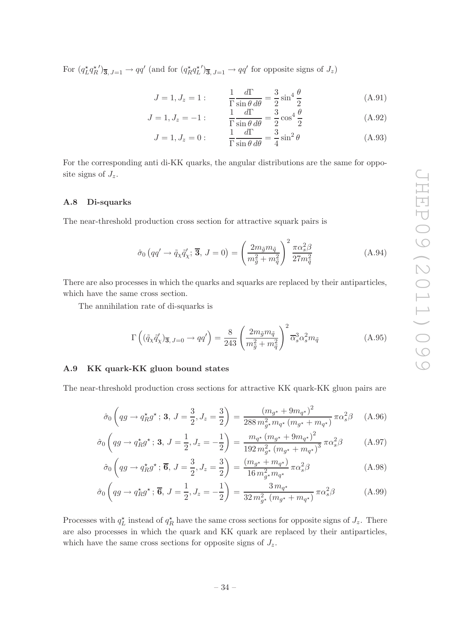For  $(q_L^{\star} q_R^{\star})$   $\overline{\mathbf{3}}, J=1 \rightarrow qq'$  (and for  $(q_R^{\star} q_L^{\star})$   $\overline{\mathbf{3}}, J=1 \rightarrow qq'$  for opposite signs of  $J_z$ )

$$
J = 1, J_z = 1: \qquad \frac{1}{\Gamma} \frac{d\Gamma}{\sin \theta \, d\theta} = \frac{3}{2} \sin^4 \frac{\theta}{2}
$$
 (A.91)

$$
J = 1, J_z = -1: \qquad \frac{1}{\Gamma} \frac{d\Gamma}{\sin \theta \, d\theta} = \frac{3}{2} \cos^4 \frac{\theta}{2} \tag{A.92}
$$

$$
J = 1, J_z = 0: \qquad \frac{1}{\Gamma} \frac{d\Gamma}{\sin \theta \, d\theta} = \frac{3}{4} \sin^2 \theta \tag{A.93}
$$

For the corresponding anti di-KK quarks, the angular distributions are the same for opposite signs of  $J_z$ .

### <span id="page-34-0"></span>A.8 Di-squarks

The near-threshold production cross section for attractive squark pairs is

$$
\hat{\sigma}_0 \left( qq' \to \tilde{q}_\chi \tilde{q}'_\chi; \overline{\mathbf{3}}, J = 0 \right) = \left( \frac{2m_{\tilde{g}} m_{\tilde{q}}}{m_{\tilde{g}}^2 + m_{\tilde{q}}^2} \right)^2 \frac{\pi \alpha_s^2 \beta}{27 m_{\tilde{q}}^2}
$$
\n(A.94)

There are also processes in which the quarks and squarks are replaced by their antiparticles, which have the same cross section.

The annihilation rate of di-squarks is

$$
\Gamma\left((\tilde{q}_{\chi}\tilde{q}'_{\chi})_{\overline{3},J=0} \to qq'\right) = \frac{8}{243} \left(\frac{2m_{\tilde{g}}m_{\tilde{q}}}{m_{\tilde{g}}^2 + m_{\tilde{q}}^2}\right)^2 \overline{\alpha}_s^3 \alpha_s^2 m_{\tilde{q}}
$$
\n(A.95)

#### <span id="page-34-1"></span>A.9 KK quark-KK gluon bound states

The near-threshold production cross sections for attractive KK quark-KK gluon pairs are

$$
\hat{\sigma}_0 \left( qg \to q_R^* g^* \, ; \, \mathbf{3}, \, J = \frac{3}{2}, J_z = \frac{3}{2} \right) = \frac{(m_{g^*} + 9m_{q^*})^2}{288 \, m_{g^*}^2 m_{q^*} \left( m_{g^*} + m_{q^*} \right)} \, \pi \alpha_s^2 \beta \tag{A.96}
$$

$$
\hat{\sigma}_0 \left( qg \to q_R^{\star} g^{\star} \, ; \, \mathbf{3}, \, J = \frac{1}{2}, J_z = -\frac{1}{2} \right) = \frac{m_{q^{\star}} \left( m_{g^{\star}} + 9m_{q^{\star}} \right)^2}{192 \, m_{g^{\star}}^2 \left( m_{g^{\star}} + m_{q^{\star}} \right)^3} \, \pi \alpha_s^2 \beta \tag{A.97}
$$

$$
\hat{\sigma}_0 \left( qg \to q_R^{\star} g^{\star}; \overline{\mathbf{6}}, J = \frac{3}{2}, J_z = \frac{3}{2} \right) = \frac{(m_{g^{\star}} + m_{q^{\star}})}{16 m_{g^{\star}}^2 m_{q^{\star}}} \pi \alpha_s^2 \beta \tag{A.98}
$$

$$
\hat{\sigma}_0 \left( qg \to q_R^* g^\star \, ; \, \overline{\mathbf{6}}, \, J = \frac{1}{2}, J_z = -\frac{1}{2} \right) = \frac{3 \, m_{q^\star}}{32 \, m_{g^\star}^2 \left( m_{g^\star} + m_{q^\star} \right)} \, \pi \alpha_s^2 \beta \tag{A.99}
$$

Processes with  $q_L^*$  instead of  $q_R^*$  have the same cross sections for opposite signs of  $J_z$ . There are also processes in which the quark and KK quark are replaced by their antiparticles, which have the same cross sections for opposite signs of  $J_z$ .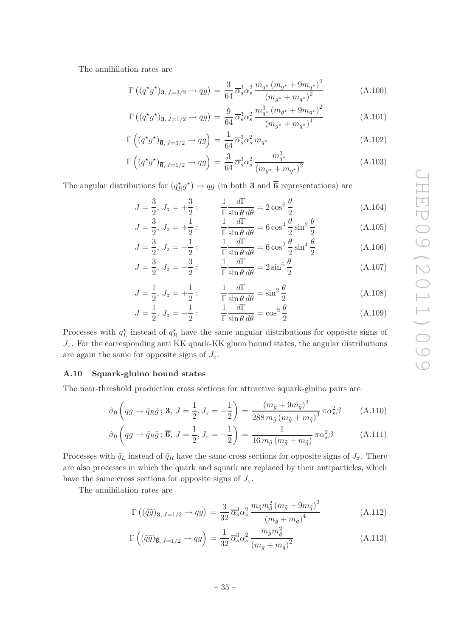The annihilation rates are

$$
\Gamma\left((q^*g^*)_{\mathbf{3},J=3/2}\to qg\right) = \frac{3}{64}\,\overline{\alpha}_s^3\alpha_s^2\,\frac{m_{q^*}\left(m_{g^*} + 9m_{q^*}\right)^2}{\left(m_{g^*} + m_{q^*}\right)^2} \tag{A.100}
$$

$$
\Gamma\left((q^*g^*)_{\mathbf{3},J=1/2}\to qg\right) = \frac{9}{64}\,\overline{\alpha}_s^3\alpha_s^2\,\frac{m_{q^*}^3\left(m_{g^*} + 9m_{q^*}\right)^2}{\left(m_{g^*} + m_{q^*}\right)^4} \tag{A.101}
$$

$$
\Gamma\left((q^*g^*)_{\overline{\mathbf{6}}, J=3/2} \to qg\right) = \frac{1}{64} \overline{\alpha}_s^3 \alpha_s^2 m_{q^*}
$$
\n(A.102)

$$
\Gamma\left((q^{\star}g^{\star})_{\overline{\mathbf{6}}, J=1/2} \to qg\right) = \frac{3}{64} \overline{\alpha}_s^3 \alpha_s^2 \frac{m_{q^{\star}}^3}{\left(m_{g^{\star}} + m_{q^{\star}}\right)^2} \tag{A.103}
$$

The angular distributions for  $(q_R^* g^*) \to qg$  (in both **3** and **6** representations) are

$$
J = \frac{3}{2}, J_z = +\frac{3}{2}:\n\qquad\n\frac{1}{\Gamma} \frac{d\Gamma}{\sin\theta \, d\theta} = 2\cos^6\frac{\theta}{2}
$$
\n(A.104)

$$
J = \frac{3}{2}, J_z = +\frac{1}{2}:\qquad \frac{1}{\Gamma} \frac{d\Gamma}{\sin\theta \,d\theta} = 6\cos^4\frac{\theta}{2}\sin^2\frac{\theta}{2}
$$
(A.105)

$$
J = \frac{3}{2}, J_z = -\frac{1}{2}:\n\qquad\n\frac{1}{\Gamma} \frac{d\Gamma}{\sin\theta \,d\theta} = 6\cos^2\frac{\theta}{2}\sin^4\frac{\theta}{2}
$$
\n(A.106)

$$
\frac{3}{2}, J_z = -\frac{3}{2} : \qquad \frac{1}{\Gamma} \frac{d\Gamma}{\sin \theta \, d\theta} = 2 \sin^6 \frac{\theta}{2}
$$
 (A.107)

$$
=\frac{1}{2}, J_z = +\frac{1}{2}:\qquad \frac{1}{\Gamma}\frac{d\Gamma}{\sin\theta \,d\theta} = \sin^2\frac{\theta}{2}
$$
(A.108)

$$
J = \frac{1}{2}, J_z = -\frac{1}{2}:\qquad \frac{1}{\Gamma} \frac{d\Gamma}{\sin\theta \, d\theta} = \cos^2\frac{\theta}{2} \tag{A.109}
$$

Processes with  $q_L^*$  instead of  $q_R^*$  have the same angular distributions for opposite signs of  $J_z$ . For the corresponding anti KK quark-KK gluon bound states, the angular distributions are again the same for opposite signs of  $J_z$ .

#### <span id="page-35-0"></span>A.10 Squark-gluino bound states

 $J =$ 

 $\boldsymbol{J}$ 

The near-threshold production cross sections for attractive squark-gluino pairs are

$$
\hat{\sigma}_0 \left( qg \to \tilde{q}_R \tilde{g} ; \mathbf{3}, J = \frac{1}{2}, J_z = -\frac{1}{2} \right) = \frac{(m_{\tilde{g}} + 9m_{\tilde{q}})^2}{288 m_{\tilde{g}} \left( m_{\tilde{g}} + m_{\tilde{q}} \right)^3} \pi \alpha_s^2 \beta \tag{A.110}
$$

$$
\hat{\sigma}_0 \left( qg \to \tilde{q}_R \tilde{g} ; \overline{\mathbf{6}}, J = \frac{1}{2}, J_z = -\frac{1}{2} \right) = \frac{1}{16 \, m_{\tilde{g}} \left( m_{\tilde{g}} + m_{\tilde{q}} \right)} \pi \alpha_s^2 \beta \tag{A.111}
$$

Processes with  $\tilde{q}_L$  instead of  $\tilde{q}_R$  have the same cross sections for opposite signs of  $J_z$ . There are also processes in which the quark and squark are replaced by their antiparticles, which have the same cross sections for opposite signs of  $J_z$ .

The annihilation rates are

$$
\Gamma\left((\tilde{q}\tilde{g})_{\mathbf{3},J=1/2}\to qg\right) = \frac{3}{32}\overline{\alpha}_s^3\alpha_s^2 \frac{m_{\tilde{g}}m_{\tilde{q}}^2\left(m_{\tilde{g}}+9m_{\tilde{q}}\right)^2}{\left(m_{\tilde{g}}+m_{\tilde{q}}\right)^4}
$$
(A.112)

$$
\Gamma\left((\tilde{q}\tilde{g})_{\overline{6}, J=1/2} \to qg\right) = \frac{1}{32} \overline{\alpha}_s^3 \alpha_s^2 \frac{m_{\tilde{g}} m_{\tilde{q}}^2}{\left(m_{\tilde{g}} + m_{\tilde{q}}\right)^2} \tag{A.113}
$$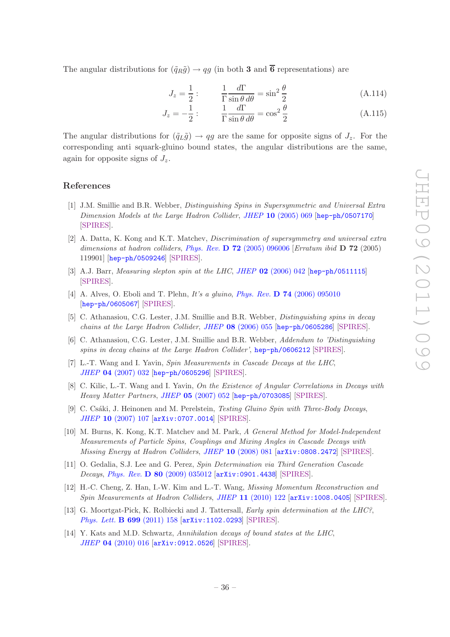The angular distributions for  $(\tilde{q}_R\tilde{g}) \rightarrow qg$  (in both 3 and  $\overline{6}$  representations) are

$$
J_z = \frac{1}{2} : \qquad \frac{1}{\Gamma} \frac{d\Gamma}{\sin \theta \, d\theta} = \sin^2 \frac{\theta}{2} \tag{A.114}
$$

$$
J_z = -\frac{1}{2} : \qquad \frac{1}{\Gamma} \frac{d\Gamma}{\sin \theta \, d\theta} = \cos^2 \frac{\theta}{2} \tag{A.115}
$$

The angular distributions for  $(\tilde{q}_L \tilde{g}) \rightarrow qg$  are the same for opposite signs of  $J_z$ . For the corresponding anti squark-gluino bound states, the angular distributions are the same, again for opposite signs of  $J_z$ .

## References

- <span id="page-36-0"></span>[1] J.M. Smillie and B.R. Webber, *Distinguishing Spins in Supersymmetric and Universal Extra Dimension Models at the Large Hadron Collider*, *JHEP* 10 [\(2005\) 069](http://dx.doi.org/10.1088/1126-6708/2005/10/069) [[hep-ph/0507170](http://arxiv.org/abs/hep-ph/0507170)] [\[SPIRES\]](http://www-spires.slac.stanford.edu/spires/find/hep/www?eprint=HEP-PH/0507170).
- [2] A. Datta, K. Kong and K.T. Matchev, *Discrimination of supersymmetry and universal extra dimensions at hadron colliders*, *Phys. Rev.* D 72 [\(2005\) 096006](http://dx.doi.org/10.1103/PhysRevD.72.096006) [*Erratum ibid* D 72 (2005) 119901] [[hep-ph/0509246](http://arxiv.org/abs/hep-ph/0509246)] [\[SPIRES\]](http://www-spires.slac.stanford.edu/spires/find/hep/www?eprint=HEP-PH/0509246).
- [3] A.J. Barr, *Measuring slepton spin at the LHC*, *JHEP* 02 [\(2006\) 042](http://dx.doi.org/10.1088/1126-6708/2006/02/042) [[hep-ph/0511115](http://arxiv.org/abs/hep-ph/0511115)] [\[SPIRES\]](http://www-spires.slac.stanford.edu/spires/find/hep/www?eprint=HEP-PH/0511115).
- [4] A. Alves, O. Eboli and T. Plehn, *It's a gluino*, *Phys. Rev.* D 74 [\(2006\) 095010](http://dx.doi.org/10.1103/PhysRevD.74.095010) [[hep-ph/0605067](http://arxiv.org/abs/hep-ph/0605067)] [\[SPIRES\]](http://www-spires.slac.stanford.edu/spires/find/hep/www?eprint=HEP-PH/0605067).
- [5] C. Athanasiou, C.G. Lester, J.M. Smillie and B.R. Webber, *Distinguishing spins in decay chains at the Large Hadron Collider*, *JHEP* 08 [\(2006\) 055](http://dx.doi.org/10.1088/1126-6708/2006/08/055) [[hep-ph/0605286](http://arxiv.org/abs/hep-ph/0605286)] [\[SPIRES\]](http://www-spires.slac.stanford.edu/spires/find/hep/www?eprint=HEP-PH/0605286).
- [6] C. Athanasiou, C.G. Lester, J.M. Smillie and B.R. Webber, *Addendum to 'Distinguishing spins in decay chains at the Large Hadron Collider'*, [hep-ph/0606212](http://arxiv.org/abs/hep-ph/0606212) [\[SPIRES\]](http://www-spires.slac.stanford.edu/spires/find/hep/www?eprint=HEP-PH/0606212).
- [7] L.-T. Wang and I. Yavin, *Spin Measurements in Cascade Decays at the LHC*, *JHEP* 04 [\(2007\) 032](http://dx.doi.org/10.1088/1126-6708/2007/04/032) [[hep-ph/0605296](http://arxiv.org/abs/hep-ph/0605296)] [\[SPIRES\]](http://www-spires.slac.stanford.edu/spires/find/hep/www?eprint=HEP-PH/0605296).
- [8] C. Kilic, L.-T. Wang and I. Yavin, *On the Existence of Angular Correlations in Decays with Heavy Matter Partners*, *JHEP* 05 [\(2007\) 052](http://dx.doi.org/10.1088/1126-6708/2007/05/052) [[hep-ph/0703085](http://arxiv.org/abs/hep-ph/0703085)] [\[SPIRES\]](http://www-spires.slac.stanford.edu/spires/find/hep/www?eprint=HEP-PH/0703085).
- <span id="page-36-3"></span>[9] C. Cs´aki, J. Heinonen and M. Perelstein, *Testing Gluino Spin with Three-Body Decays*, *JHEP* 10 [\(2007\) 107](http://dx.doi.org/10.1088/1126-6708/2007/10/107) [[arXiv:0707.0014](http://arxiv.org/abs/0707.0014)] [\[SPIRES\]](http://www-spires.slac.stanford.edu/spires/find/hep/www?eprint=0707.0014).
- [10] M. Burns, K. Kong, K.T. Matchev and M. Park, *A General Method for Model-Independent Measurements of Particle Spins, Couplings and Mixing Angles in Cascade Decays with Missing Energy at Hadron Colliders*, *JHEP* 10 [\(2008\) 081](http://dx.doi.org/10.1088/1126-6708/2008/10/081) [[arXiv:0808.2472](http://arxiv.org/abs/0808.2472)] [\[SPIRES\]](http://www-spires.slac.stanford.edu/spires/find/hep/www?eprint=0808.2472).
- [11] O. Gedalia, S.J. Lee and G. Perez, *Spin Determination via Third Generation Cascade Decays*, *Phys. Rev.* D 80 [\(2009\) 035012](http://dx.doi.org/10.1103/PhysRevD.80.035012) [[arXiv:0901.4438](http://arxiv.org/abs/0901.4438)] [\[SPIRES\]](http://www-spires.slac.stanford.edu/spires/find/hep/www?eprint=0901.4438).
- [12] H.-C. Cheng, Z. Han, I.-W. Kim and L.-T. Wang, *Missing Momentum Reconstruction and Spin Measurements at Hadron Colliders*, *JHEP* 11 [\(2010\) 122](http://dx.doi.org/10.1007/JHEP11(2010)122) [[arXiv:1008.0405](http://arxiv.org/abs/1008.0405)] [\[SPIRES\]](http://www-spires.slac.stanford.edu/spires/find/hep/www?eprint=1008.0405).
- <span id="page-36-1"></span>[13] G. Moortgat-Pick, K. Rolbiecki and J. Tattersall, *Early spin determination at the LHC?*, *[Phys. Lett.](http://dx.doi.org/10.1016/j.physletb.2011.03.064)* B 699 (2011) 158 [[arXiv:1102.0293](http://arxiv.org/abs/1102.0293)] [\[SPIRES\]](http://www-spires.slac.stanford.edu/spires/find/hep/www?eprint=1102.0293).
- <span id="page-36-2"></span>[14] Y. Kats and M.D. Schwartz, *Annihilation decays of bound states at the LHC*, *JHEP* 04 [\(2010\) 016](http://dx.doi.org/10.1007/JHEP04(2010)016) [[arXiv:0912.0526](http://arxiv.org/abs/0912.0526)] [\[SPIRES\]](http://www-spires.slac.stanford.edu/spires/find/hep/www?eprint=0912.0526).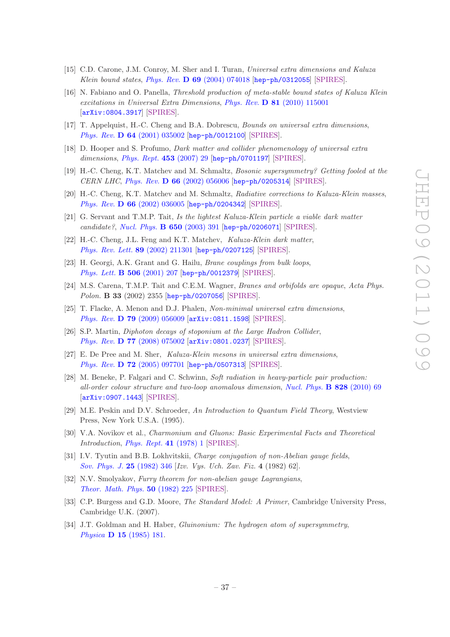- <span id="page-37-0"></span>[15] C.D. Carone, J.M. Conroy, M. Sher and I. Turan, *Universal extra dimensions and Kaluza Klein bound states*, *Phys. Rev.* D 69 [\(2004\) 074018](http://dx.doi.org/10.1103/PhysRevD.69.074018) [[hep-ph/0312055](http://arxiv.org/abs/hep-ph/0312055)] [\[SPIRES\]](http://www-spires.slac.stanford.edu/spires/find/hep/www?eprint=HEP-PH/0312055).
- <span id="page-37-1"></span>[16] N. Fabiano and O. Panella, *Threshold production of meta-stable bound states of Kaluza Klein excitations in Universal Extra Dimensions*, *Phys. Rev.* D 81 [\(2010\) 115001](http://dx.doi.org/10.1103/PhysRevD.81.115001) [[arXiv:0804.3917](http://arxiv.org/abs/0804.3917)] [\[SPIRES\]](http://www-spires.slac.stanford.edu/spires/find/hep/www?eprint=0804.3917).
- <span id="page-37-2"></span>[17] T. Appelquist, H.-C. Cheng and B.A. Dobrescu, *Bounds on universal extra dimensions*, *Phys. Rev.* D 64 [\(2001\) 035002](http://dx.doi.org/10.1103/PhysRevD.64.035002) [[hep-ph/0012100](http://arxiv.org/abs/hep-ph/0012100)] [\[SPIRES\]](http://www-spires.slac.stanford.edu/spires/find/hep/www?eprint=HEP-PH/0012100).
- <span id="page-37-3"></span>[18] D. Hooper and S. Profumo, *Dark matter and collider phenomenology of universal extra dimensions*, *[Phys. Rept.](http://dx.doi.org/10.1016/j.physrep.2007.09.003)* 453 (2007) 29 [[hep-ph/0701197](http://arxiv.org/abs/hep-ph/0701197)] [\[SPIRES\]](http://www-spires.slac.stanford.edu/spires/find/hep/www?eprint=HEP-PH/0701197).
- <span id="page-37-4"></span>[19] H.-C. Cheng, K.T. Matchev and M. Schmaltz, *Bosonic supersymmetry? Getting fooled at the CERN LHC*, *Phys. Rev.* D 66 [\(2002\) 056006](http://dx.doi.org/10.1103/PhysRevD.66.056006) [[hep-ph/0205314](http://arxiv.org/abs/hep-ph/0205314)] [\[SPIRES\]](http://www-spires.slac.stanford.edu/spires/find/hep/www?eprint=HEP-PH/0205314).
- <span id="page-37-5"></span>[20] H.-C. Cheng, K.T. Matchev and M. Schmaltz, *Radiative corrections to Kaluza-Klein masses*, *Phys. Rev.* D 66 [\(2002\) 036005](http://dx.doi.org/10.1103/PhysRevD.66.036005) [[hep-ph/0204342](http://arxiv.org/abs/hep-ph/0204342)] [\[SPIRES\]](http://www-spires.slac.stanford.edu/spires/find/hep/www?eprint=HEP-PH/0204342).
- <span id="page-37-6"></span>[21] G. Servant and T.M.P. Tait, *Is the lightest Kaluza-Klein particle a viable dark matter candidate?*, *[Nucl. Phys.](http://dx.doi.org/10.1016/S0550-3213(02)01012-X)* B 650 (2003) 391 [[hep-ph/0206071](http://arxiv.org/abs/hep-ph/0206071)] [\[SPIRES\]](http://www-spires.slac.stanford.edu/spires/find/hep/www?eprint=HEP-PH/0206071).
- <span id="page-37-7"></span>[22] H.-C. Cheng, J.L. Feng and K.T. Matchev, *Kaluza-Klein dark matter*, *[Phys. Rev. Lett.](http://dx.doi.org/10.1103/PhysRevLett.89.211301)* 89 (2002) 211301 [[hep-ph/0207125](http://arxiv.org/abs/hep-ph/0207125)] [\[SPIRES\]](http://www-spires.slac.stanford.edu/spires/find/hep/www?eprint=HEP-PH/0207125).
- <span id="page-37-8"></span>[23] H. Georgi, A.K. Grant and G. Hailu, *Brane couplings from bulk loops*, *[Phys. Lett.](http://dx.doi.org/10.1016/S0370-2693(01)00408-7)* B 506 (2001) 207 [[hep-ph/0012379](http://arxiv.org/abs/hep-ph/0012379)] [\[SPIRES\]](http://www-spires.slac.stanford.edu/spires/find/hep/www?eprint=HEP-PH/0012379).
- <span id="page-37-9"></span>[24] M.S. Carena, T.M.P. Tait and C.E.M. Wagner, *Branes and orbifolds are opaque*, *Acta Phys. Polon.* B 33 (2002) 2355 [[hep-ph/0207056](http://arxiv.org/abs/hep-ph/0207056)] [\[SPIRES\]](http://www-spires.slac.stanford.edu/spires/find/hep/www?eprint=HEP-PH/0207056).
- <span id="page-37-10"></span>[25] T. Flacke, A. Menon and D.J. Phalen, *Non-minimal universal extra dimensions*, *Phys. Rev.* D 79 [\(2009\) 056009](http://dx.doi.org/10.1103/PhysRevD.79.056009) [[arXiv:0811.1598](http://arxiv.org/abs/0811.1598)] [\[SPIRES\]](http://www-spires.slac.stanford.edu/spires/find/hep/www?eprint=0811.1598).
- <span id="page-37-11"></span>[26] S.P. Martin, *Diphoton decays of stoponium at the Large Hadron Collider*, *Phys. Rev.* D 77 [\(2008\) 075002](http://dx.doi.org/10.1103/PhysRevD.77.075002) [[arXiv:0801.0237](http://arxiv.org/abs/0801.0237)] [\[SPIRES\]](http://www-spires.slac.stanford.edu/spires/find/hep/www?eprint=0801.0237).
- <span id="page-37-12"></span>[27] E. De Pree and M. Sher, *Kaluza-Klein mesons in universal extra dimensions*, *Phys. Rev.* D 72 [\(2005\) 097701](http://dx.doi.org/10.1103/PhysRevD.72.097701) [[hep-ph/0507313](http://arxiv.org/abs/hep-ph/0507313)] [\[SPIRES\]](http://www-spires.slac.stanford.edu/spires/find/hep/www?eprint=HEP-PH/0507313).
- <span id="page-37-13"></span>[28] M. Beneke, P. Falgari and C. Schwinn, *Soft radiation in heavy-particle pair production: all-order colour structure and two-loop anomalous dimension*, *[Nucl. Phys.](http://dx.doi.org/10.1016/j.nuclphysb.2009.11.004)* B 828 (2010) 69 [[arXiv:0907.1443](http://arxiv.org/abs/0907.1443)] [\[SPIRES\]](http://www-spires.slac.stanford.edu/spires/find/hep/www?eprint=0907.1443).
- <span id="page-37-14"></span>[29] M.E. Peskin and D.V. Schroeder, *An Introduction to Quantum Field Theory*, Westview Press, New York U.S.A. (1995).
- <span id="page-37-15"></span>[30] V.A. Novikov et al., *Charmonium and Gluons: Basic Experimental Facts and Theoretical Introduction*, *[Phys. Rept.](http://dx.doi.org/10.1016/0370-1573(78)90120-5)* 41 (1978) 1 [\[SPIRES\]](http://www-spires.slac.stanford.edu/spires/find/hep/www?j=PRPLC,41,1).
- <span id="page-37-16"></span>[31] I.V. Tyutin and B.B. Lokhvitskii, *Charge conjugation of non-Abelian gauge fields*, *[Sov. Phys. J.](http://dx.doi.org/10.1007/BF00906208)* 25 (1982) 346 [*Izv. Vys. Uch. Zav. Fiz.* 4 (1982) 62].
- [32] N.V. Smolyakov, *Furry theorem for non-abelian gauge Lagrangians*, *[Theor. Math. Phys.](http://dx.doi.org/10.1007/BF01016449)* 50 (1982) 225 [\[SPIRES\]](http://www-spires.slac.stanford.edu/spires/find/hep/www?j=TMPHA,50,225).
- <span id="page-37-17"></span>[33] C.P. Burgess and G.D. Moore, *The Standard Model: A Primer*, Cambridge University Press, Cambridge U.K. (2007).
- <span id="page-37-18"></span>[34] J.T. Goldman and H. Haber, *Gluinonium: The hydrogen atom of supersymmetry*, *Physica* D 15 [\(1985\) 181.](http://dx.doi.org/10.1016/0167-2789(85)90161-7)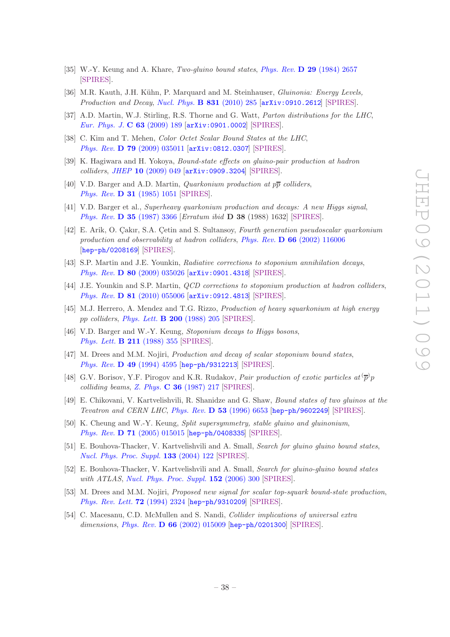- [35] W.-Y. Keung and A. Khare, *Two-gluino bound states*, *Phys. Rev.* D 29 [\(1984\) 2657](http://dx.doi.org/10.1103/PhysRevD.29.2657) [\[SPIRES\]](http://www-spires.slac.stanford.edu/spires/find/hep/www?j=PHRVA,D29,2657).
- <span id="page-38-0"></span>[36] M.R. Kauth, J.H. K¨uhn, P. Marquard and M. Steinhauser, *Gluinonia: Energy Levels, Production and Decay*, *[Nucl. Phys.](http://dx.doi.org/10.1016/j.nuclphysb.2010.01.019)* B 831 (2010) 285 [[arXiv:0910.2612](http://arxiv.org/abs/0910.2612)] [\[SPIRES\]](http://www-spires.slac.stanford.edu/spires/find/hep/www?eprint=0910.2612).
- <span id="page-38-1"></span>[37] A.D. Martin, W.J. Stirling, R.S. Thorne and G. Watt, *Parton distributions for the LHC*, *[Eur. Phys. J.](http://dx.doi.org/10.1140/epjc/s10052-009-1072-5)* C 63 (2009) 189 [[arXiv:0901.0002](http://arxiv.org/abs/0901.0002)] [\[SPIRES\]](http://www-spires.slac.stanford.edu/spires/find/hep/www?eprint=0901.0002).
- <span id="page-38-2"></span>[38] C. Kim and T. Mehen, *Color Octet Scalar Bound States at the LHC*, *Phys. Rev.* D 79 [\(2009\) 035011](http://dx.doi.org/10.1103/PhysRevD.79.035011) [[arXiv:0812.0307](http://arxiv.org/abs/0812.0307)] [\[SPIRES\]](http://www-spires.slac.stanford.edu/spires/find/hep/www?eprint=0812.0307).
- <span id="page-38-3"></span>[39] K. Hagiwara and H. Yokoya, *Bound-state effects on gluino-pair production at hadron colliders*, *JHEP* 10 [\(2009\) 049](http://dx.doi.org/10.1088/1126-6708/2009/10/049) [[arXiv:0909.3204](http://arxiv.org/abs/0909.3204)] [\[SPIRES\]](http://www-spires.slac.stanford.edu/spires/find/hep/www?eprint=0909.3204).
- <span id="page-38-4"></span>[40] V.D. Barger and A.D. Martin, *Quarkonium production at*  $p\bar{p}$  *colliders*, *Phys. Rev.* **D 31** [\(1985\) 1051](http://dx.doi.org/10.1103/PhysRevD.31.1051) [\[SPIRES\]](http://www-spires.slac.stanford.edu/spires/find/hep/www?j=PHRVA,D31,1051).
- <span id="page-38-5"></span>[41] V.D. Barger et al., *Superheavy quarkonium production and decays: A new Higgs signal*, *Phys. Rev.* D 35 [\(1987\) 3366](http://dx.doi.org/10.1103/PhysRevD.35.3366) [*Erratum ibid* D 38 (1988) 1632] [\[SPIRES\]](http://www-spires.slac.stanford.edu/spires/find/hep/www?j=PHRVA,D35,3366).
- <span id="page-38-6"></span>[42] E. Arik, O. Çakır, S.A. Çetin and S. Sultansoy, *Fourth generation pseudoscalar quarkonium production and observability at hadron colliders*, *Phys. Rev.* D 66 [\(2002\) 116006](http://dx.doi.org/10.1103/PhysRevD.66.116006) [[hep-ph/0208169](http://arxiv.org/abs/hep-ph/0208169)] [\[SPIRES\]](http://www-spires.slac.stanford.edu/spires/find/hep/www?eprint=HEP-PH/0208169).
- <span id="page-38-7"></span>[43] S.P. Martin and J.E. Younkin, *Radiative corrections to stoponium annihilation decays*, *Phys. Rev.* D 80 [\(2009\) 035026](http://dx.doi.org/10.1103/PhysRevD.80.035026) [[arXiv:0901.4318](http://arxiv.org/abs/0901.4318)] [\[SPIRES\]](http://www-spires.slac.stanford.edu/spires/find/hep/www?eprint=0901.4318).
- <span id="page-38-8"></span>[44] J.E. Younkin and S.P. Martin, *QCD corrections to stoponium production at hadron colliders*, *Phys. Rev.* D 81 [\(2010\) 055006](http://dx.doi.org/10.1103/PhysRevD.81.055006) [[arXiv:0912.4813](http://arxiv.org/abs/0912.4813)] [\[SPIRES\]](http://www-spires.slac.stanford.edu/spires/find/hep/www?eprint=0912.4813).
- <span id="page-38-9"></span>[45] M.J. Herrero, A. Mendez and T.G. Rizzo, *Production of heavy squarkonium at high energy* pp *colliders*, *[Phys. Lett.](http://dx.doi.org/10.1016/0370-2693(88)91137-9)* B 200 (1988) 205 [\[SPIRES\]](http://www-spires.slac.stanford.edu/spires/find/hep/www?j=PHLTA,B200,205).
- [46] V.D. Barger and W.-Y. Keung, *Stoponium decays to Higgs bosons*, *[Phys. Lett.](http://dx.doi.org/10.1016/0370-2693(88)90915-X)* B 211 (1988) 355 [\[SPIRES\]](http://www-spires.slac.stanford.edu/spires/find/hep/www?j=PHLTA,B211,355).
- <span id="page-38-10"></span>[47] M. Drees and M.M. Nojiri, *Production and decay of scalar stoponium bound states*, *Phys. Rev.* D 49 [\(1994\) 4595](http://dx.doi.org/10.1103/PhysRevD.49.4595) [[hep-ph/9312213](http://arxiv.org/abs/hep-ph/9312213)] [\[SPIRES\]](http://www-spires.slac.stanford.edu/spires/find/hep/www?eprint=HEP-PH/9312213).
- <span id="page-38-11"></span>[48] G.V. Borisov, Y.F. Pirogov and K.R. Rudakov, *Pair production of exotic particles at*  $\overline{p}$ <sup>*p*</sup> *colliding beams*, *Z. Phys.* C 36 [\(1987\) 217](http://dx.doi.org/10.1007/BF01579137) [\[SPIRES\]](http://www-spires.slac.stanford.edu/spires/find/hep/www?j=ZEPYA,C36,217).
- <span id="page-38-13"></span>[49] E. Chikovani, V. Kartvelishvili, R. Shanidze and G. Shaw, *Bound states of two gluinos at the Tevatron and CERN LHC*, *Phys. Rev.* D 53 [\(1996\) 6653](http://dx.doi.org/10.1103/PhysRevD.53.6653) [[hep-ph/9602249](http://arxiv.org/abs/hep-ph/9602249)] [\[SPIRES\]](http://www-spires.slac.stanford.edu/spires/find/hep/www?eprint=HEP-PH/9602249).
- [50] K. Cheung and W.-Y. Keung, *Split supersymmetry, stable gluino and gluinonium*, *Phys. Rev.* D 71 [\(2005\) 015015](http://dx.doi.org/10.1103/PhysRevD.71.015015) [[hep-ph/0408335](http://arxiv.org/abs/hep-ph/0408335)] [\[SPIRES\]](http://www-spires.slac.stanford.edu/spires/find/hep/www?eprint=HEP-PH/0408335).
- [51] E. Bouhova-Thacker, V. Kartvelishvili and A. Small, *Search for gluino gluino bound states*, *[Nucl. Phys. Proc. Suppl.](http://dx.doi.org/10.1016/j.nuclphysBPS.2004.04.148)* 133 (2004) 122 [\[SPIRES\]](http://www-spires.slac.stanford.edu/spires/find/hep/www?j=NUPHZ,133,122).
- <span id="page-38-14"></span>[52] E. Bouhova-Thacker, V. Kartvelishvili and A. Small, *Search for gluino-gluino bound states with ATLAS*, *[Nucl. Phys. Proc. Suppl.](http://dx.doi.org/10.1016/j.nuclphysBPS.2005.08.059)* 152 (2006) 300 [\[SPIRES\]](http://www-spires.slac.stanford.edu/spires/find/hep/www?j=NUPHZ,152,300).
- <span id="page-38-15"></span>[53] M. Drees and M.M. Nojiri, *Proposed new signal for scalar top-squark bound-state production*, *[Phys. Rev. Lett.](http://dx.doi.org/10.1103/PhysRevLett.72.2324)* 72 (1994) 2324 [[hep-ph/9310209](http://arxiv.org/abs/hep-ph/9310209)] [\[SPIRES\]](http://www-spires.slac.stanford.edu/spires/find/hep/www?eprint=HEP-PH/9310209).
- <span id="page-38-12"></span>[54] C. Macesanu, C.D. McMullen and S. Nandi, *Collider implications of universal extra dimensions*, *Phys. Rev.* D 66 [\(2002\) 015009](http://dx.doi.org/10.1103/PhysRevD.66.015009) [[hep-ph/0201300](http://arxiv.org/abs/hep-ph/0201300)] [\[SPIRES\]](http://www-spires.slac.stanford.edu/spires/find/hep/www?eprint=HEP-PH/0201300).